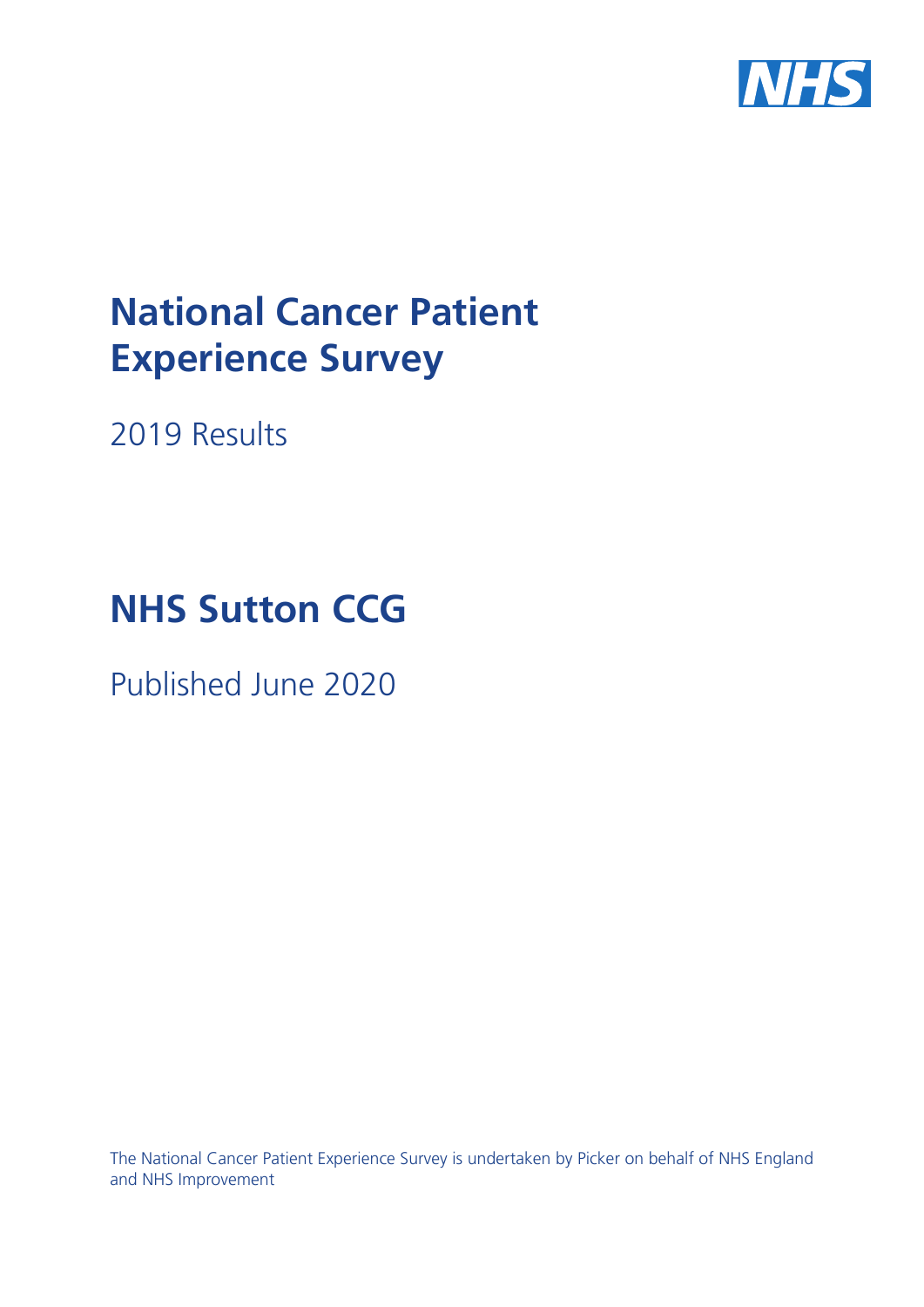

# **National Cancer Patient Experience Survey**

2019 Results

# **NHS Sutton CCG**

Published June 2020

The National Cancer Patient Experience Survey is undertaken by Picker on behalf of NHS England and NHS Improvement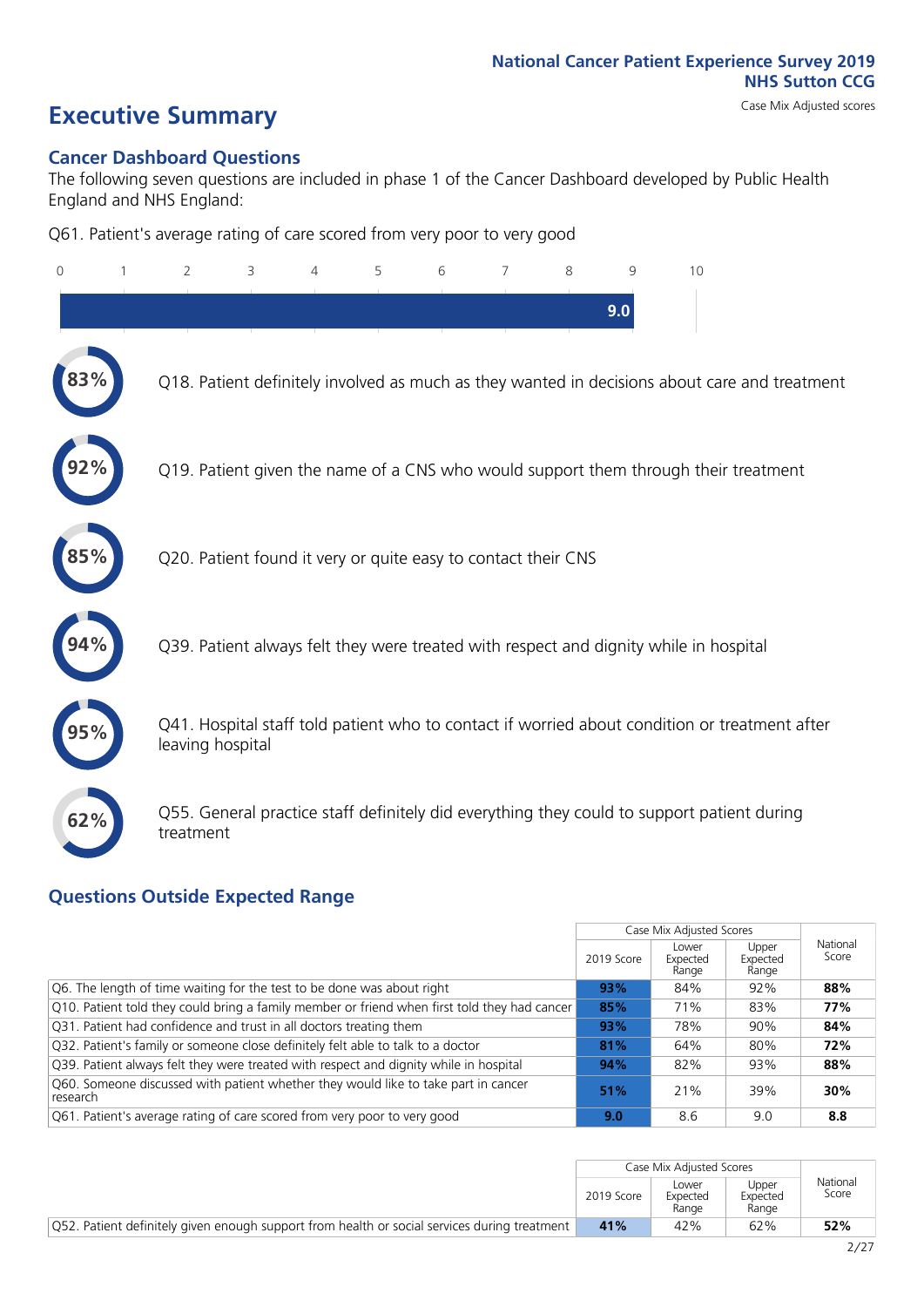# **Executive Summary** Case Mix Adjusted scores

#### **Cancer Dashboard Questions**

The following seven questions are included in phase 1 of the Cancer Dashboard developed by Public Health England and NHS England:

Q61. Patient's average rating of care scored from very poor to very good

| $\overline{0}$ | 2                                                             | 3 | 4 | 5 | 6 | 7 | 8 | 9   | 10                                                                                            |
|----------------|---------------------------------------------------------------|---|---|---|---|---|---|-----|-----------------------------------------------------------------------------------------------|
|                |                                                               |   |   |   |   |   |   | 9.0 |                                                                                               |
|                |                                                               |   |   |   |   |   |   |     | Q18. Patient definitely involved as much as they wanted in decisions about care and treatment |
|                |                                                               |   |   |   |   |   |   |     | Q19. Patient given the name of a CNS who would support them through their treatment           |
|                | Q20. Patient found it very or quite easy to contact their CNS |   |   |   |   |   |   |     |                                                                                               |
|                |                                                               |   |   |   |   |   |   |     | Q39. Patient always felt they were treated with respect and dignity while in hospital         |
|                | leaving hospital                                              |   |   |   |   |   |   |     | Q41. Hospital staff told patient who to contact if worried about condition or treatment after |
| 62%            | treatment                                                     |   |   |   |   |   |   |     | Q55. General practice staff definitely did everything they could to support patient during    |

#### **Questions Outside Expected Range**

|                                                                                                |               | Case Mix Adjusted Scores   |                            |                   |
|------------------------------------------------------------------------------------------------|---------------|----------------------------|----------------------------|-------------------|
|                                                                                                | 2019 Score    | Lower<br>Expected<br>Range | Upper<br>Expected<br>Range | National<br>Score |
| Q6. The length of time waiting for the test to be done was about right                         | 93%           | 84%                        | 92%                        | 88%               |
| Q10. Patient told they could bring a family member or friend when first told they had cancer   | 85%           | 71%                        | 83%                        | 77%               |
| Q31. Patient had confidence and trust in all doctors treating them                             | 93%           | 78%                        | 90%                        | 84%               |
| Q32. Patient's family or someone close definitely felt able to talk to a doctor                | 81%           | 64%                        | 80%                        | 72%               |
| Q39. Patient always felt they were treated with respect and dignity while in hospital          | 94%           | 82%                        | 93%                        | 88%               |
| Q60. Someone discussed with patient whether they would like to take part in cancer<br>research | 51%           | 21%                        | 39%                        | 30%               |
| Q61. Patient's average rating of care scored from very poor to very good                       | $9.0^{\circ}$ | 8.6                        | 9.0                        | 8.8               |

|                                                                                              |            | Case Mix Adiusted Scores   |                            |                   |
|----------------------------------------------------------------------------------------------|------------|----------------------------|----------------------------|-------------------|
|                                                                                              | 2019 Score | _ower<br>Expected<br>Range | Joper<br>Expected<br>Range | National<br>Score |
| Q52. Patient definitely given enough support from health or social services during treatment | 41%        | 42%                        | 62%                        | 52%               |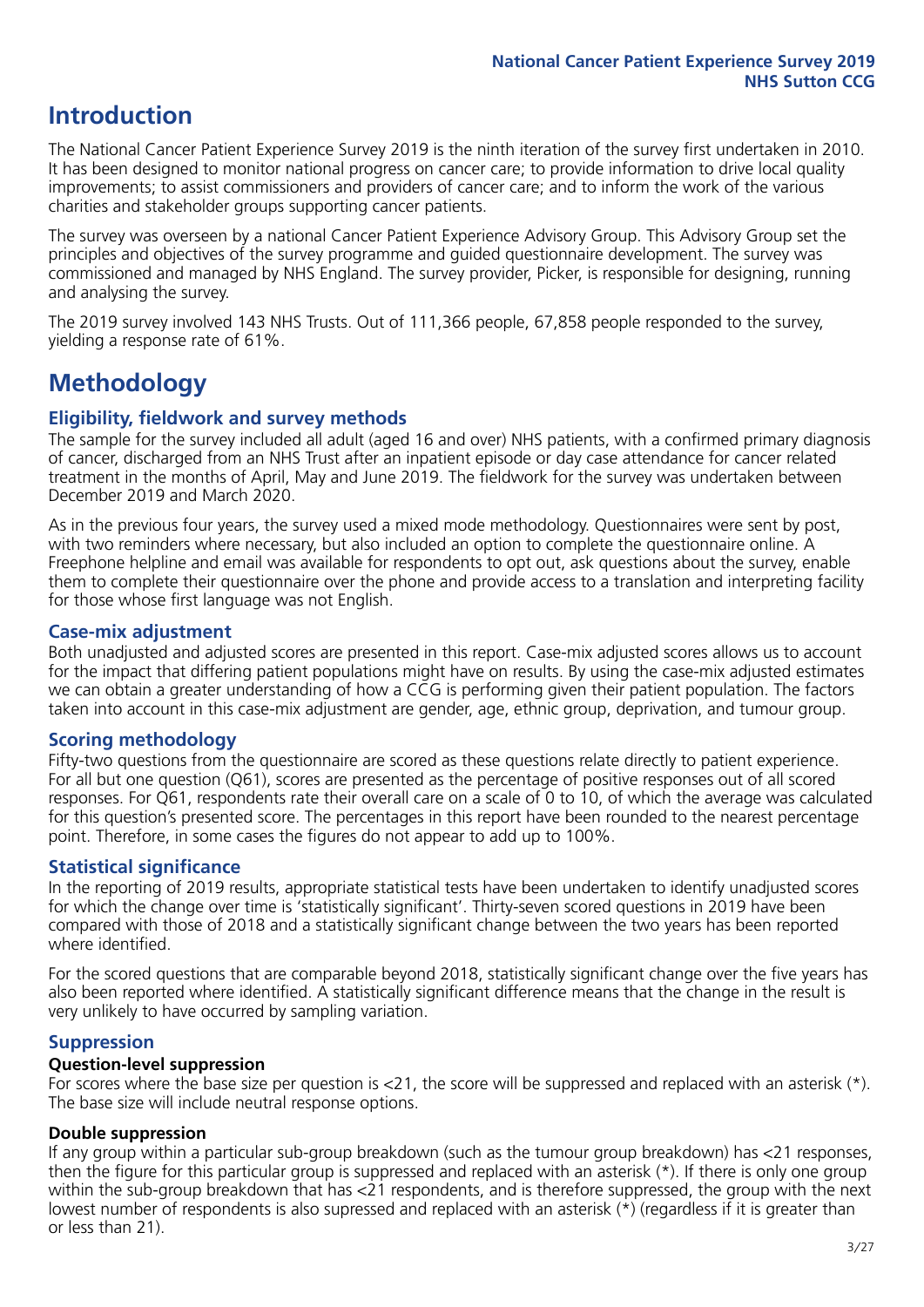# **Introduction**

The National Cancer Patient Experience Survey 2019 is the ninth iteration of the survey first undertaken in 2010. It has been designed to monitor national progress on cancer care; to provide information to drive local quality improvements; to assist commissioners and providers of cancer care; and to inform the work of the various charities and stakeholder groups supporting cancer patients.

The survey was overseen by a national Cancer Patient Experience Advisory Group. This Advisory Group set the principles and objectives of the survey programme and guided questionnaire development. The survey was commissioned and managed by NHS England. The survey provider, Picker, is responsible for designing, running and analysing the survey.

The 2019 survey involved 143 NHS Trusts. Out of 111,366 people, 67,858 people responded to the survey, yielding a response rate of 61%.

# **Methodology**

#### **Eligibility, eldwork and survey methods**

The sample for the survey included all adult (aged 16 and over) NHS patients, with a confirmed primary diagnosis of cancer, discharged from an NHS Trust after an inpatient episode or day case attendance for cancer related treatment in the months of April, May and June 2019. The fieldwork for the survey was undertaken between December 2019 and March 2020.

As in the previous four years, the survey used a mixed mode methodology. Questionnaires were sent by post, with two reminders where necessary, but also included an option to complete the questionnaire online. A Freephone helpline and email was available for respondents to opt out, ask questions about the survey, enable them to complete their questionnaire over the phone and provide access to a translation and interpreting facility for those whose first language was not English.

#### **Case-mix adjustment**

Both unadjusted and adjusted scores are presented in this report. Case-mix adjusted scores allows us to account for the impact that differing patient populations might have on results. By using the case-mix adjusted estimates we can obtain a greater understanding of how a CCG is performing given their patient population. The factors taken into account in this case-mix adjustment are gender, age, ethnic group, deprivation, and tumour group.

#### **Scoring methodology**

Fifty-two questions from the questionnaire are scored as these questions relate directly to patient experience. For all but one question (Q61), scores are presented as the percentage of positive responses out of all scored responses. For Q61, respondents rate their overall care on a scale of 0 to 10, of which the average was calculated for this question's presented score. The percentages in this report have been rounded to the nearest percentage point. Therefore, in some cases the figures do not appear to add up to 100%.

#### **Statistical significance**

In the reporting of 2019 results, appropriate statistical tests have been undertaken to identify unadjusted scores for which the change over time is 'statistically significant'. Thirty-seven scored questions in 2019 have been compared with those of 2018 and a statistically significant change between the two years has been reported where identified.

For the scored questions that are comparable beyond 2018, statistically significant change over the five years has also been reported where identified. A statistically significant difference means that the change in the result is very unlikely to have occurred by sampling variation.

#### **Suppression**

#### **Question-level suppression**

For scores where the base size per question is  $<$ 21, the score will be suppressed and replaced with an asterisk (\*). The base size will include neutral response options.

#### **Double suppression**

If any group within a particular sub-group breakdown (such as the tumour group breakdown) has <21 responses, then the figure for this particular group is suppressed and replaced with an asterisk (\*). If there is only one group within the sub-group breakdown that has <21 respondents, and is therefore suppressed, the group with the next lowest number of respondents is also supressed and replaced with an asterisk (\*) (regardless if it is greater than or less than 21).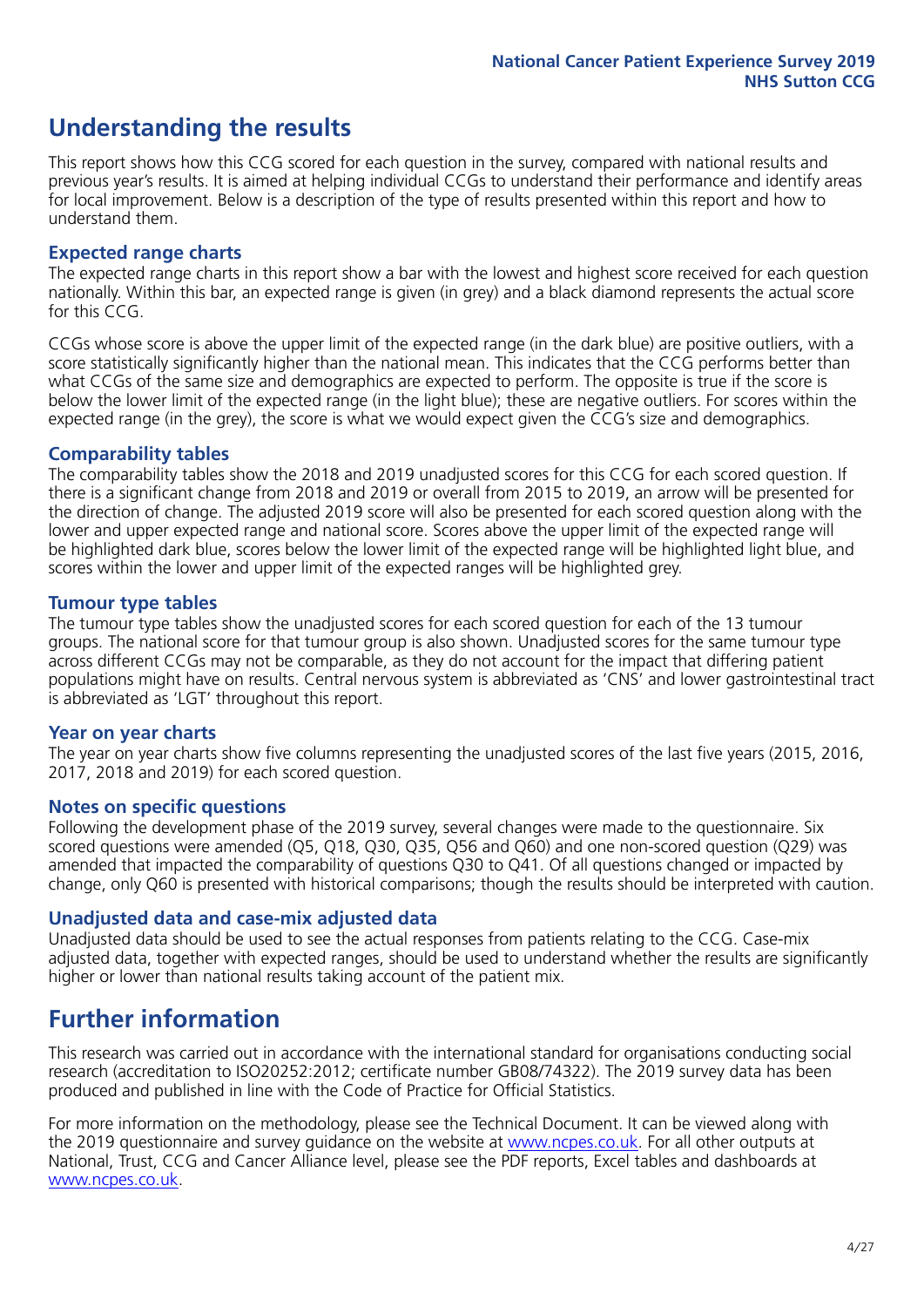# **Understanding the results**

This report shows how this CCG scored for each question in the survey, compared with national results and previous year's results. It is aimed at helping individual CCGs to understand their performance and identify areas for local improvement. Below is a description of the type of results presented within this report and how to understand them.

#### **Expected range charts**

The expected range charts in this report show a bar with the lowest and highest score received for each question nationally. Within this bar, an expected range is given (in grey) and a black diamond represents the actual score for this CCG.

CCGs whose score is above the upper limit of the expected range (in the dark blue) are positive outliers, with a score statistically significantly higher than the national mean. This indicates that the CCG performs better than what CCGs of the same size and demographics are expected to perform. The opposite is true if the score is below the lower limit of the expected range (in the light blue); these are negative outliers. For scores within the expected range (in the grey), the score is what we would expect given the CCG's size and demographics.

#### **Comparability tables**

The comparability tables show the 2018 and 2019 unadjusted scores for this CCG for each scored question. If there is a significant change from 2018 and 2019 or overall from 2015 to 2019, an arrow will be presented for the direction of change. The adjusted 2019 score will also be presented for each scored question along with the lower and upper expected range and national score. Scores above the upper limit of the expected range will be highlighted dark blue, scores below the lower limit of the expected range will be highlighted light blue, and scores within the lower and upper limit of the expected ranges will be highlighted grey.

#### **Tumour type tables**

The tumour type tables show the unadjusted scores for each scored question for each of the 13 tumour groups. The national score for that tumour group is also shown. Unadjusted scores for the same tumour type across different CCGs may not be comparable, as they do not account for the impact that differing patient populations might have on results. Central nervous system is abbreviated as 'CNS' and lower gastrointestinal tract is abbreviated as 'LGT' throughout this report.

#### **Year on year charts**

The year on year charts show five columns representing the unadjusted scores of the last five years (2015, 2016, 2017, 2018 and 2019) for each scored question.

#### **Notes on specific questions**

Following the development phase of the 2019 survey, several changes were made to the questionnaire. Six scored questions were amended (Q5, Q18, Q30, Q35, Q56 and Q60) and one non-scored question (Q29) was amended that impacted the comparability of questions Q30 to Q41. Of all questions changed or impacted by change, only Q60 is presented with historical comparisons; though the results should be interpreted with caution.

#### **Unadjusted data and case-mix adjusted data**

Unadjusted data should be used to see the actual responses from patients relating to the CCG. Case-mix adjusted data, together with expected ranges, should be used to understand whether the results are significantly higher or lower than national results taking account of the patient mix.

### **Further information**

This research was carried out in accordance with the international standard for organisations conducting social research (accreditation to ISO20252:2012; certificate number GB08/74322). The 2019 survey data has been produced and published in line with the Code of Practice for Official Statistics.

For more information on the methodology, please see the Technical Document. It can be viewed along with the 2019 questionnaire and survey quidance on the website at [www.ncpes.co.uk](https://www.ncpes.co.uk/supporting-documents). For all other outputs at National, Trust, CCG and Cancer Alliance level, please see the PDF reports, Excel tables and dashboards at [www.ncpes.co.uk.](https://www.ncpes.co.uk/current-results)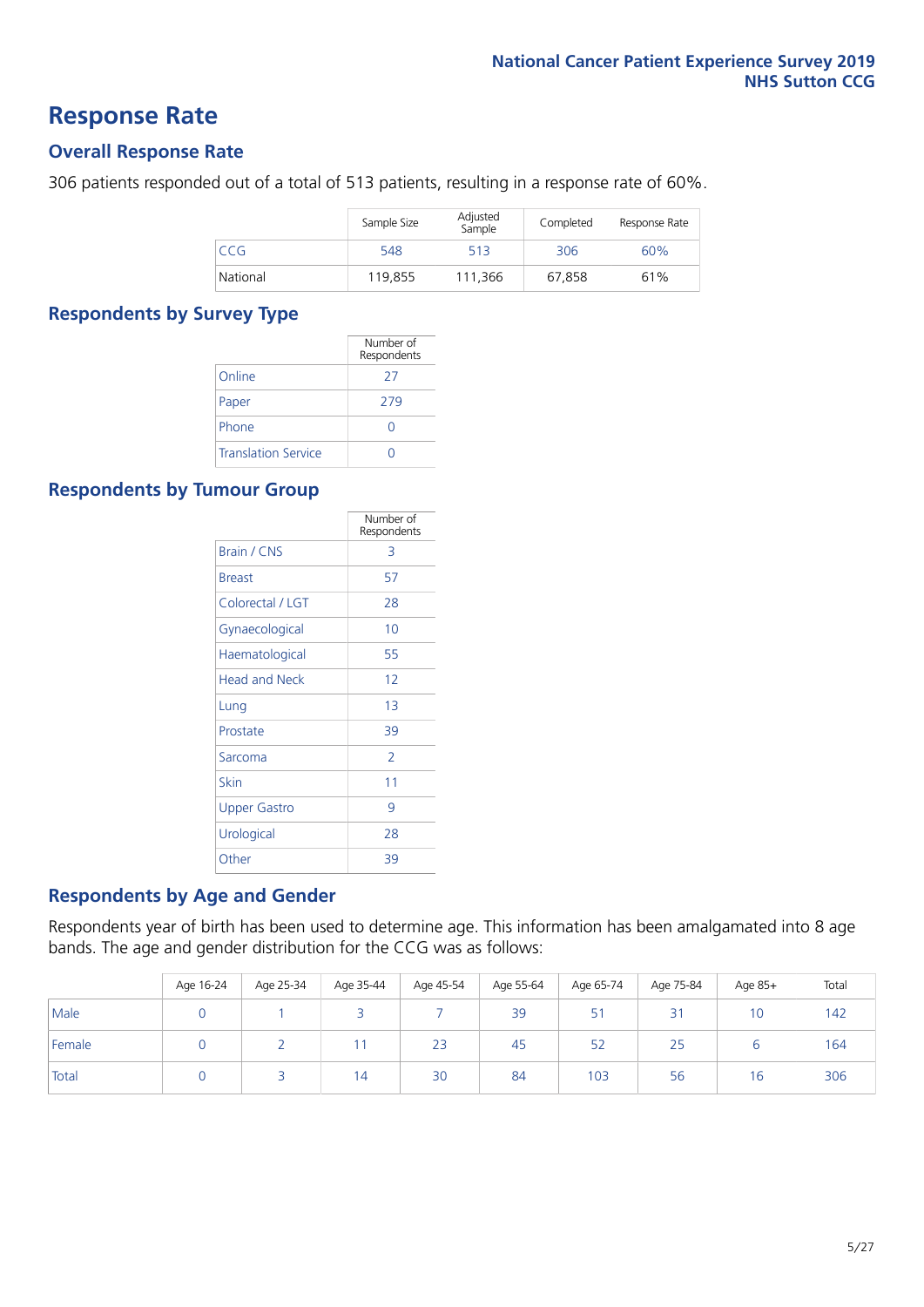### **Response Rate**

#### **Overall Response Rate**

306 patients responded out of a total of 513 patients, resulting in a response rate of 60%.

|          | Sample Size | Adjusted<br>Sample | Completed | Response Rate |
|----------|-------------|--------------------|-----------|---------------|
| CCG      | 548         | 513                | 306       | 60%           |
| National | 119.855     | 111.366            | 67.858    | 61%           |

#### **Respondents by Survey Type**

|                            | Number of<br>Respondents |
|----------------------------|--------------------------|
| Online                     | 27                       |
| Paper                      | 279                      |
| Phone                      |                          |
| <b>Translation Service</b> |                          |

#### **Respondents by Tumour Group**

|                      | Number of<br>Respondents |
|----------------------|--------------------------|
| <b>Brain / CNS</b>   | 3                        |
| <b>Breast</b>        | 57                       |
| Colorectal / LGT     | 28                       |
| Gynaecological       | 10                       |
| Haematological       | 55                       |
| <b>Head and Neck</b> | 12                       |
| Lung                 | 1 <sub>3</sub>           |
| Prostate             | 39                       |
| Sarcoma              | $\mathcal{P}$            |
| Skin                 | 11                       |
| Upper Gastro         | 9                        |
| Urological           | 28                       |
| Other                | 39                       |

#### **Respondents by Age and Gender**

Respondents year of birth has been used to determine age. This information has been amalgamated into 8 age bands. The age and gender distribution for the CCG was as follows:

|        | Age 16-24 | Age 25-34 | Age 35-44 | Age 45-54 | Age 55-64 | Age 65-74 | Age 75-84 | Age 85+ | Total |
|--------|-----------|-----------|-----------|-----------|-----------|-----------|-----------|---------|-------|
| Male   |           |           |           |           | 39        | 51        | 31        | 10      | 142   |
| Female |           |           |           | 23        | 45        | 52        | 25        |         | 164   |
| Total  |           |           | 14        | 30        | 84        | 103       | 56        | 16      | 306   |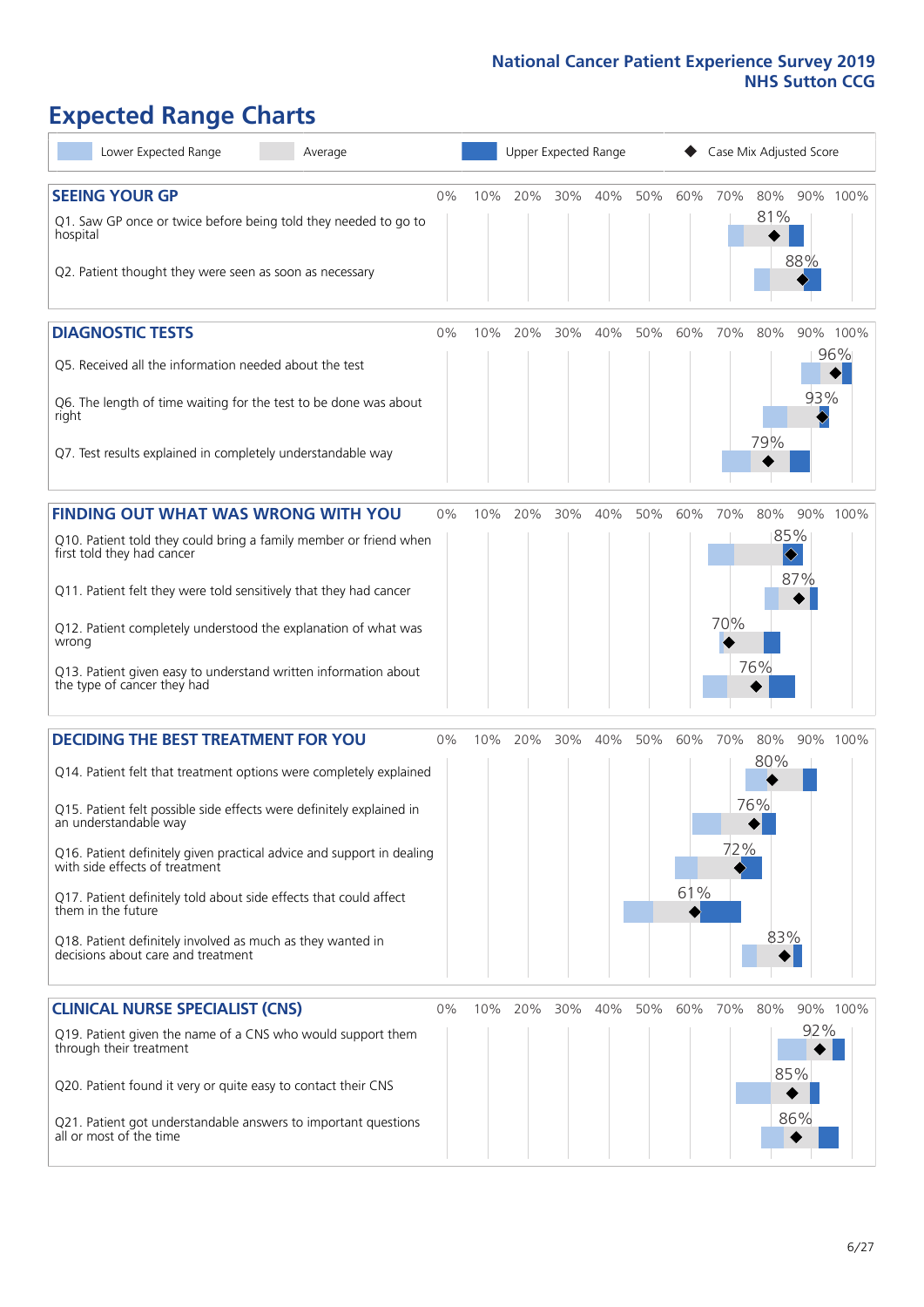# **Expected Range Charts**

| Lower Expected Range<br>Average                                                                                                                                 |       |     | Upper Expected Range |     |     |     |     | Case Mix Adjusted Score |                        |     |                 |
|-----------------------------------------------------------------------------------------------------------------------------------------------------------------|-------|-----|----------------------|-----|-----|-----|-----|-------------------------|------------------------|-----|-----------------|
| <b>SEEING YOUR GP</b><br>Q1. Saw GP once or twice before being told they needed to go to<br>hospital<br>Q2. Patient thought they were seen as soon as necessary | $0\%$ | 10% | 20%                  | 30% | 40% | 50% | 60% | 70%                     | 80%<br>81%             | 88% | 90% 100%        |
| <b>DIAGNOSTIC TESTS</b><br>Q5. Received all the information needed about the test                                                                               | $0\%$ | 10% | 20%                  | 30% | 40% | 50% | 60% | 70%                     | 80%                    |     | 90% 100%<br>96% |
| Q6. The length of time waiting for the test to be done was about<br>right                                                                                       |       |     |                      |     |     |     |     |                         | 79%                    | 93% |                 |
| Q7. Test results explained in completely understandable way                                                                                                     |       |     |                      |     |     |     |     |                         |                        |     |                 |
| FINDING OUT WHAT WAS WRONG WITH YOU                                                                                                                             | $0\%$ | 10% | 20%                  | 30% | 40% | 50% | 60% | 70%                     | 80%                    |     | 90% 100%        |
| Q10. Patient told they could bring a family member or friend when<br>first told they had cancer                                                                 |       |     |                      |     |     |     |     |                         | 85%<br>$\blacklozenge$ |     |                 |
| Q11. Patient felt they were told sensitively that they had cancer                                                                                               |       |     |                      |     |     |     |     |                         |                        | 87% |                 |
| Q12. Patient completely understood the explanation of what was<br>wrong                                                                                         |       |     |                      |     |     |     |     | 70%                     |                        |     |                 |
| Q13. Patient given easy to understand written information about<br>the type of cancer they had                                                                  |       |     |                      |     |     |     |     |                         | 76%                    |     |                 |
| <b>DECIDING THE BEST TREATMENT FOR YOU</b>                                                                                                                      | $0\%$ | 10% | 20%                  | 30% | 40% | 50% | 60% | 70%                     | 80%                    |     | 90% 100%        |
| Q14. Patient felt that treatment options were completely explained                                                                                              |       |     |                      |     |     |     |     |                         | 80%                    |     |                 |
| Q15. Patient felt possible side effects were definitely explained in<br>an understandable way                                                                   |       |     |                      |     |     |     |     |                         | 76%                    |     |                 |
| Q16. Patient definitely given practical advice and support in dealing<br>with side effects of treatment                                                         |       |     |                      |     |     |     |     | 72%                     |                        |     |                 |
| Q17. Patient definitely told about side effects that could affect<br>them in the future                                                                         |       |     |                      |     |     |     | 61% |                         |                        |     |                 |
| Q18. Patient definitely involved as much as they wanted in<br>decisions about care and treatment                                                                |       |     |                      |     |     |     |     |                         | 83%                    |     |                 |
| <b>CLINICAL NURSE SPECIALIST (CNS)</b>                                                                                                                          | $0\%$ |     | 10% 20%              | 30% | 40% | 50% | 60% | 70%                     | 80%                    |     | 90% 100%        |
| Q19. Patient given the name of a CNS who would support them<br>through their treatment                                                                          |       |     |                      |     |     |     |     |                         |                        | 92% |                 |
| Q20. Patient found it very or quite easy to contact their CNS                                                                                                   |       |     |                      |     |     |     |     |                         |                        | 85% |                 |
| Q21. Patient got understandable answers to important questions<br>all or most of the time                                                                       |       |     |                      |     |     |     |     |                         |                        | 86% |                 |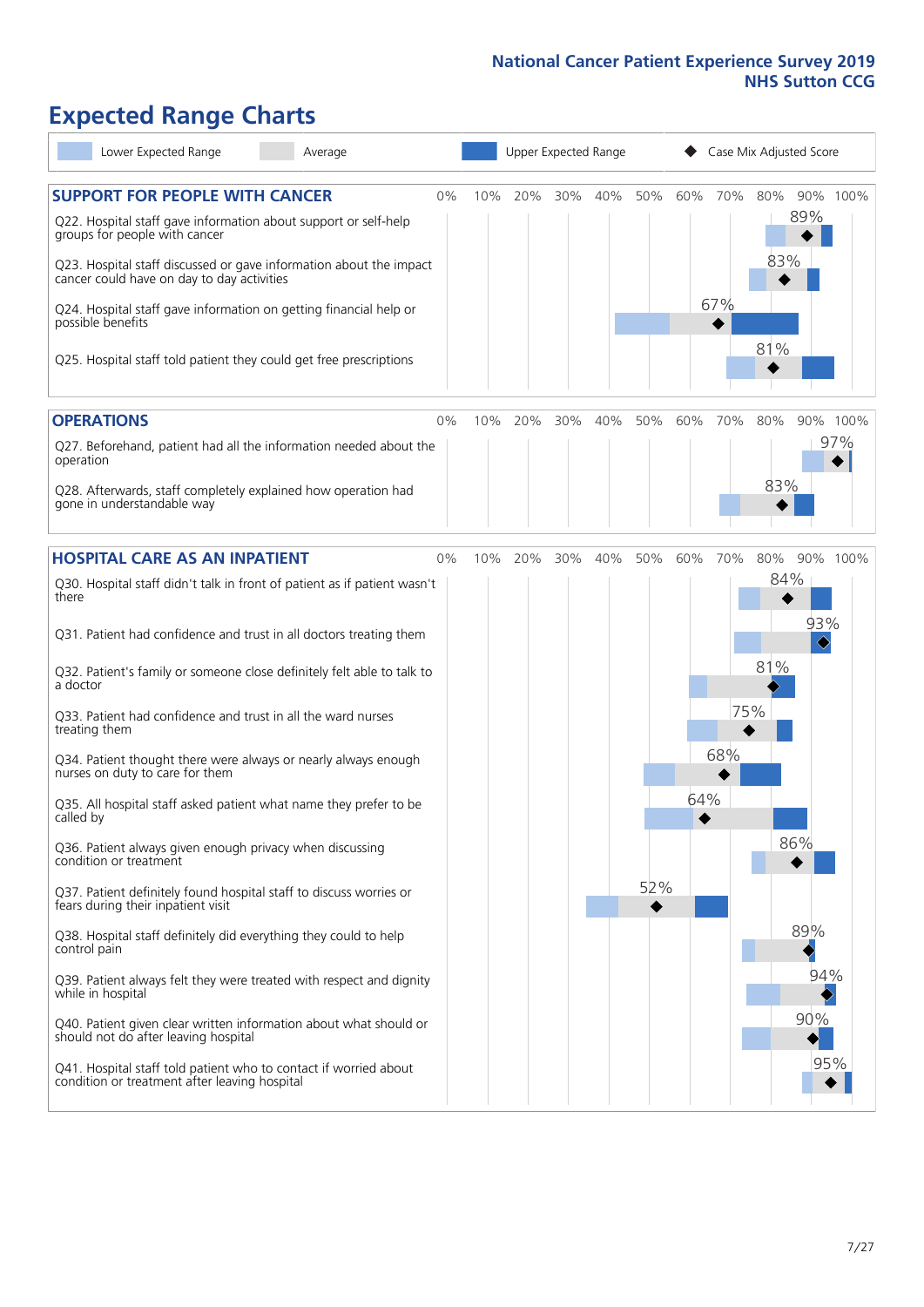# **Expected Range Charts**

| Lower Expected Range<br>Average                                                                                                           |    | Upper Expected Range |     |     |     |     |         | Case Mix Adjusted Score |     |                 |  |  |  |
|-------------------------------------------------------------------------------------------------------------------------------------------|----|----------------------|-----|-----|-----|-----|---------|-------------------------|-----|-----------------|--|--|--|
| <b>SUPPORT FOR PEOPLE WITH CANCER</b><br>Q22. Hospital staff gave information about support or self-help<br>groups for people with cancer | 0% | 10%                  | 20% | 30% | 40% | 50% | 60% 70% |                         | 80% | 90% 100%<br>89% |  |  |  |
| Q23. Hospital staff discussed or gave information about the impact<br>cancer could have on day to day activities                          |    |                      |     |     |     |     |         |                         | 83% |                 |  |  |  |
| Q24. Hospital staff gave information on getting financial help or<br>possible benefits                                                    |    |                      |     |     |     |     |         | 67%                     |     |                 |  |  |  |
| Q25. Hospital staff told patient they could get free prescriptions                                                                        |    |                      |     |     |     |     |         |                         | 81% |                 |  |  |  |
| <b>OPERATIONS</b>                                                                                                                         | 0% | 10%                  | 20% | 30% | 40% | 50% | 60%     | 70%                     | 80% | 90% 100%        |  |  |  |
| Q27. Beforehand, patient had all the information needed about the<br>operation                                                            |    |                      |     |     |     |     |         |                         |     | 97%             |  |  |  |
| Q28. Afterwards, staff completely explained how operation had<br>gone in understandable way                                               |    |                      |     |     |     |     |         |                         | 83% |                 |  |  |  |
| <b>HOSPITAL CARE AS AN INPATIENT</b>                                                                                                      | 0% | 10%                  | 20% | 30% | 40% | 50% | 60%     | 70%                     | 80% | 90% 100%        |  |  |  |
| Q30. Hospital staff didn't talk in front of patient as if patient wasn't<br>there                                                         |    |                      |     |     |     |     |         |                         | 84% |                 |  |  |  |
| Q31. Patient had confidence and trust in all doctors treating them                                                                        |    |                      |     |     |     |     |         |                         |     | 93%<br>♦        |  |  |  |
| Q32. Patient's family or someone close definitely felt able to talk to<br>a doctor                                                        |    |                      |     |     |     |     |         |                         | 81% |                 |  |  |  |
| Q33. Patient had confidence and trust in all the ward nurses<br>treating them                                                             |    |                      |     |     |     |     |         | 75%                     |     |                 |  |  |  |
| Q34. Patient thought there were always or nearly always enough<br>nurses on duty to care for them                                         |    |                      |     |     |     |     |         | 68%                     |     |                 |  |  |  |
| Q35. All hospital staff asked patient what name they prefer to be<br>called by                                                            |    |                      |     |     |     |     | 64%     |                         |     |                 |  |  |  |
| Q36. Patient always given enough privacy when discussing<br>condition or treatment                                                        |    |                      |     |     |     |     |         |                         | 86% |                 |  |  |  |
| Q37. Patient definitely found hospital staff to discuss worries or<br>fears during their inpatient visit                                  |    |                      |     |     |     | 52% |         |                         |     |                 |  |  |  |
| Q38. Hospital staff definitely did everything they could to help<br>control pain                                                          |    |                      |     |     |     |     |         |                         |     | 89%             |  |  |  |
| Q39. Patient always felt they were treated with respect and dignity<br>while in hospital                                                  |    |                      |     |     |     |     |         |                         |     | 94%             |  |  |  |
| Q40. Patient given clear written information about what should or<br>should not do after leaving hospital                                 |    |                      |     |     |     |     |         |                         |     | 90%             |  |  |  |
| Q41. Hospital staff told patient who to contact if worried about<br>condition or treatment after leaving hospital                         |    |                      |     |     |     |     |         |                         |     | 95%             |  |  |  |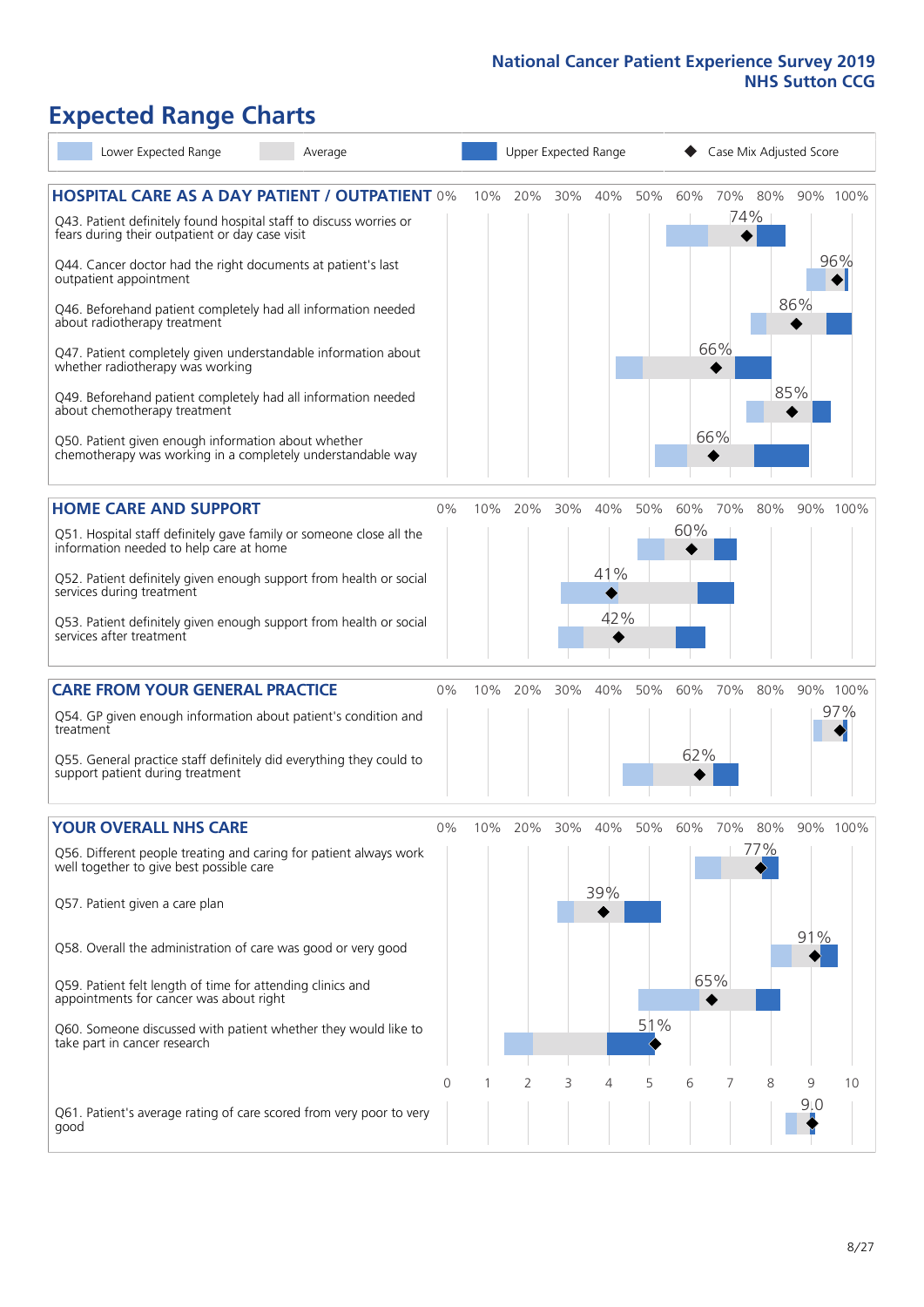# **Expected Range Charts**

| Lower Expected Range<br>Average                                                                                                                                                                                                                                                                                                                                                                                                                                                                                                                                                                                                                                                                        |            |     | Upper Expected Range |          |                   |                 |            |                       | Case Mix Adjusted Score |            |                 |
|--------------------------------------------------------------------------------------------------------------------------------------------------------------------------------------------------------------------------------------------------------------------------------------------------------------------------------------------------------------------------------------------------------------------------------------------------------------------------------------------------------------------------------------------------------------------------------------------------------------------------------------------------------------------------------------------------------|------------|-----|----------------------|----------|-------------------|-----------------|------------|-----------------------|-------------------------|------------|-----------------|
| <b>HOSPITAL CARE AS A DAY PATIENT / OUTPATIENT 0%</b><br>Q43. Patient definitely found hospital staff to discuss worries or<br>fears during their outpatient or day case visit<br>Q44. Cancer doctor had the right documents at patient's last<br>outpatient appointment<br>Q46. Beforehand patient completely had all information needed<br>about radiotherapy treatment<br>Q47. Patient completely given understandable information about<br>whether radiotherapy was working<br>Q49. Beforehand patient completely had all information needed<br>about chemotherapy treatment<br>Q50. Patient given enough information about whether<br>chemotherapy was working in a completely understandable way |            | 10% | 20%                  | 30%      | 40%               | 50%             | 60%        | 70% 80%<br>66%<br>66% | 74%                     | 86%<br>85% | 90% 100%<br>96% |
| <b>HOME CARE AND SUPPORT</b><br>Q51. Hospital staff definitely gave family or someone close all the<br>information needed to help care at home<br>Q52. Patient definitely given enough support from health or social<br>services during treatment<br>Q53. Patient definitely given enough support from health or social<br>services after treatment                                                                                                                                                                                                                                                                                                                                                    | 0%         | 10% | 20%                  | 30%      | 40%<br>41%<br>42% | 50%             | 60%<br>60% | 70%                   | 80%                     |            | 90% 100%        |
| <b>CARE FROM YOUR GENERAL PRACTICE</b><br>Q54. GP given enough information about patient's condition and<br>treatment<br>Q55. General practice staff definitely did everything they could to<br>support patient during treatment                                                                                                                                                                                                                                                                                                                                                                                                                                                                       | $0\%$      | 10% | 20%                  | 30%      | 40%               | 50%             | 60%<br>62% | 70%                   | 80%                     |            | 90% 100%<br>97% |
| <b>YOUR OVERALL NHS CARE</b><br>Q56. Different people treating and caring for patient always work<br>well together to give best possible care<br>Q57. Patient given a care plan<br>Q58. Overall the administration of care was good or very good<br>Q59. Patient felt length of time for attending clinics and<br>appointments for cancer was about right<br>Q60. Someone discussed with patient whether they would like to<br>take part in cancer research                                                                                                                                                                                                                                            | $0\%$<br>0 | 10% | 20%<br>2             | 30%<br>3 | 40%<br>39%<br>4   | 50%<br>51%<br>5 | 60%<br>6   | 70%<br>65%<br>7       | 80%<br>77%<br>8         | 91%<br>9   | 90% 100%<br>10  |
| Q61. Patient's average rating of care scored from very poor to very<br>good                                                                                                                                                                                                                                                                                                                                                                                                                                                                                                                                                                                                                            |            |     |                      |          |                   |                 |            |                       |                         | 9:0        |                 |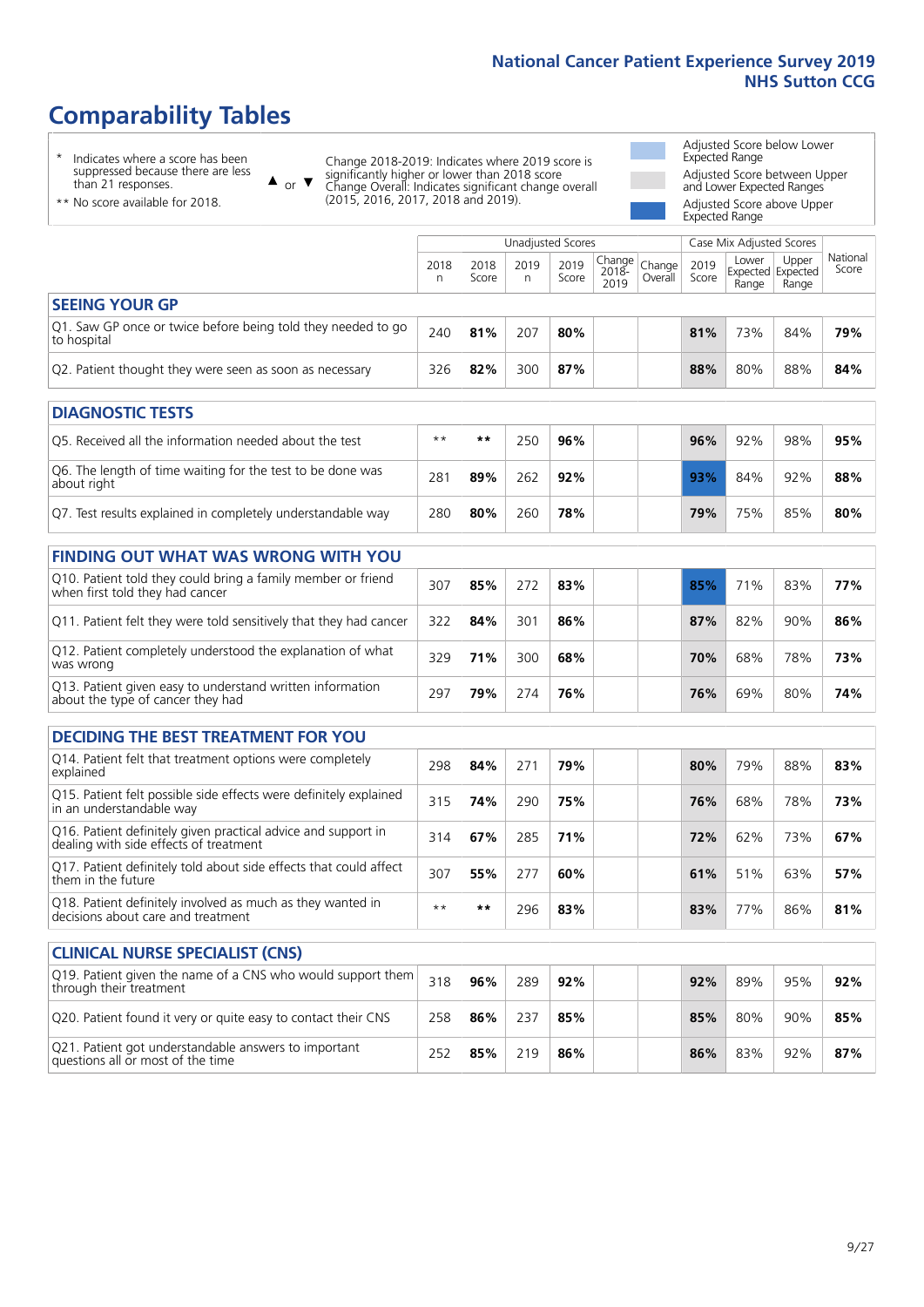# **Comparability Tables**

\* Indicates where a score has been suppressed because there are less than 21 responses.

\*\* No score available for 2018.

 $\triangle$  or  $\nabla$ 

Change 2018-2019: Indicates where 2019 score is significantly higher or lower than 2018 score Change Overall: Indicates significant change overall (2015, 2016, 2017, 2018 and 2019).

Adjusted Score below Lower Expected Range Adjusted Score between Upper and Lower Expected Ranges Adjusted Score above Upper

Expected Range

|                                                                             |           |               |           | Unadjusted Scores |                                                  |         |               | Case Mix Adjusted Scores |                                     |                   |
|-----------------------------------------------------------------------------|-----------|---------------|-----------|-------------------|--------------------------------------------------|---------|---------------|--------------------------|-------------------------------------|-------------------|
|                                                                             | 2018<br>n | 2018<br>Score | 2019<br>n | 2019<br>Score     | $\sqrt{(\text{Change})}$ Change<br>2018-<br>2019 | Overall | 2019<br>Score | Lower<br>Range           | Upper<br>Expected Expected<br>Range | National<br>Score |
| <b>SEEING YOUR GP</b>                                                       |           |               |           |                   |                                                  |         |               |                          |                                     |                   |
| Q1. Saw GP once or twice before being told they needed to go<br>to hospital | 240       | 81%           | 207       | 80%               |                                                  |         | 81%           | 73%                      | 84%                                 | 79%               |
| Q2. Patient thought they were seen as soon as necessary                     | 326       | 82%           | 300       | 87%               |                                                  |         | 88%           | 80%                      | 88%                                 | 84%               |
| <b>DIAGNOSTIC TESTS</b>                                                     |           |               |           |                   |                                                  |         |               |                          |                                     |                   |

| Q5. Received all the information needed about the test                    | $**$ | **  | 250 | 96% |  | 96% | 92% | 98% | 95% |
|---------------------------------------------------------------------------|------|-----|-----|-----|--|-----|-----|-----|-----|
| Q6. The length of time waiting for the test to be done was<br>about right | 28'  | 89% | 262 | 92% |  | 93% | 84% | 92% | 88% |
| Q7. Test results explained in completely understandable way               | 280  | 80% | 260 | 78% |  | 79% | 75% | 85% | 80% |

| <b>FINDING OUT WHAT WAS WRONG WITH YOU</b>                                                      |     |     |     |     |     |     |     |     |
|-------------------------------------------------------------------------------------------------|-----|-----|-----|-----|-----|-----|-----|-----|
| Q10. Patient told they could bring a family member or friend<br>when first told they had cancer | 307 | 85% | 272 | 83% | 85% | 71% | 83% | 77% |
| Q11. Patient felt they were told sensitively that they had cancer                               | 322 | 84% | 301 | 86% | 87% | 82% | 90% | 86% |
| Q12. Patient completely understood the explanation of what<br>was wrong                         | 329 | 71% | 300 | 68% | 70% | 68% | 78% | 73% |
| Q13. Patient given easy to understand written information<br>about the type of cancer they had  | 297 | 79% | 274 | 76% | 76% | 69% | 80% | 74% |

| <b>DECIDING THE BEST TREATMENT FOR YOU</b>                                                              |      |     |     |     |  |     |     |     |     |
|---------------------------------------------------------------------------------------------------------|------|-----|-----|-----|--|-----|-----|-----|-----|
| Q14. Patient felt that treatment options were completely<br>explained                                   | 298  | 84% | 271 | 79% |  | 80% | 79% | 88% | 83% |
| Q15. Patient felt possible side effects were definitely explained<br>in an understandable way           | 315  | 74% | 290 | 75% |  | 76% | 68% | 78% | 73% |
| Q16. Patient definitely given practical advice and support in<br>dealing with side effects of treatment | 314  | 67% | 285 | 71% |  | 72% | 62% | 73% | 67% |
| Q17. Patient definitely told about side effects that could affect<br>them in the future                 | 307  | 55% | 277 | 60% |  | 61% | 51% | 63% | 57% |
| Q18. Patient definitely involved as much as they wanted in<br>decisions about care and treatment        | $**$ | **  | 296 | 83% |  | 83% | 77% | 86% | 81% |

| <b>CLINICAL NURSE SPECIALIST (CNS)</b>                                                    |     |     |     |     |  |     |     |     |     |
|-------------------------------------------------------------------------------------------|-----|-----|-----|-----|--|-----|-----|-----|-----|
| Q19. Patient given the name of a CNS who would support them<br>through their treatment    | 318 | 96% | 289 | 92% |  | 92% | 89% | 95% | 92% |
| Q20. Patient found it very or quite easy to contact their CNS                             | 258 | 86% | 237 | 85% |  | 85% | 80% | 90% | 85% |
| Q21. Patient got understandable answers to important<br>questions all or most of the time | 252 | 85% | 219 | 86% |  | 86% | 83% | 92% | 87% |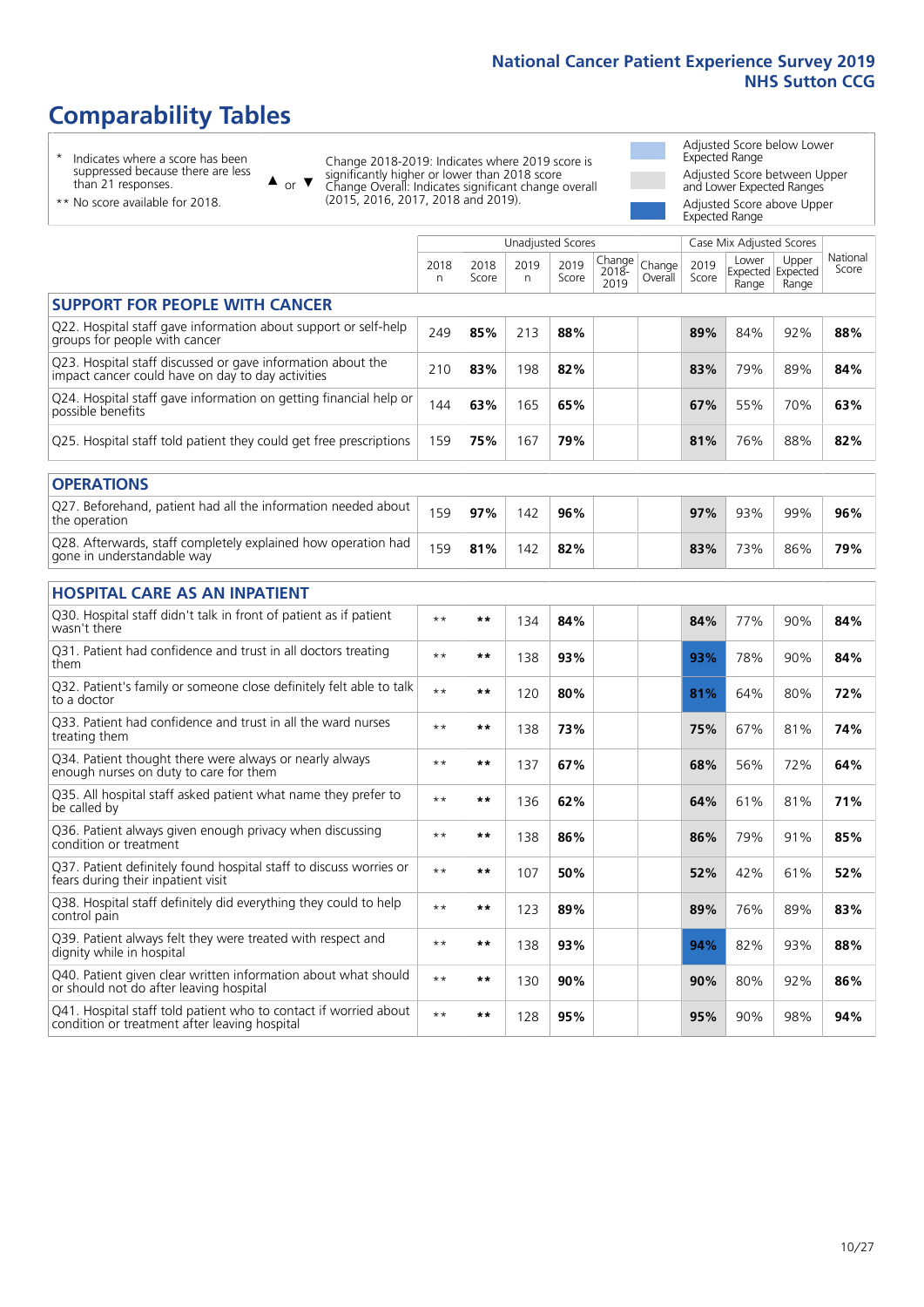# **Comparability Tables**

\* Indicates where a score has been suppressed because there are less than 21 responses.

\*\* No score available for 2018.

 $\triangle$  or  $\nabla$ 

Change 2018-2019: Indicates where 2019 score is significantly higher or lower than 2018 score Change Overall: Indicates significant change overall (2015, 2016, 2017, 2018 and 2019).

Adjusted Score below Lower Expected Range Adjusted Score between Upper and Lower Expected Ranges Adjusted Score above Upper Expected Range

|                                                                                                                   |              |               | <b>Unadjusted Scores</b> |               |                         |                   |               | Case Mix Adjusted Scores |                                     |                   |
|-------------------------------------------------------------------------------------------------------------------|--------------|---------------|--------------------------|---------------|-------------------------|-------------------|---------------|--------------------------|-------------------------------------|-------------------|
|                                                                                                                   | 2018<br>n    | 2018<br>Score | 2019<br>n                | 2019<br>Score | Change<br>2018-<br>2019 | Change<br>Overall | 2019<br>Score | Lower<br>Range           | Upper<br>Expected Expected<br>Range | National<br>Score |
| <b>SUPPORT FOR PEOPLE WITH CANCER</b>                                                                             |              |               |                          |               |                         |                   |               |                          |                                     |                   |
| Q22. Hospital staff gave information about support or self-help<br>groups for people with cancer                  | 249          | 85%           | 213                      | 88%           |                         |                   | 89%           | 84%                      | 92%                                 | 88%               |
| Q23. Hospital staff discussed or gave information about the<br>impact cancer could have on day to day activities  | 210          | 83%           | 198                      | 82%           |                         |                   | 83%           | 79%                      | 89%                                 | 84%               |
| Q24. Hospital staff gave information on getting financial help or<br>possible benefits                            | 144          | 63%           | 165                      | 65%           |                         |                   | 67%           | 55%                      | 70%                                 | 63%               |
| Q25. Hospital staff told patient they could get free prescriptions                                                | 159          | 75%           | 167                      | 79%           |                         |                   | 81%           | 76%                      | 88%                                 | 82%               |
| <b>OPERATIONS</b>                                                                                                 |              |               |                          |               |                         |                   |               |                          |                                     |                   |
| Q27. Beforehand, patient had all the information needed about<br>the operation                                    | 159          | 97%           | 142                      | 96%           |                         |                   | 97%           | 93%                      | 99%                                 | 96%               |
| Q28. Afterwards, staff completely explained how operation had<br>gone in understandable way                       | 159          | 81%           | 142                      | 82%           |                         |                   | 83%           | 73%                      | 86%                                 | 79%               |
| <b>HOSPITAL CARE AS AN INPATIENT</b>                                                                              |              |               |                          |               |                         |                   |               |                          |                                     |                   |
| Q30. Hospital staff didn't talk in front of patient as if patient<br>wasn't there                                 | $\star\star$ | **            | 134                      | 84%           |                         |                   | 84%           | 77%                      | 90%                                 | 84%               |
| Q31. Patient had confidence and trust in all doctors treating<br>them                                             | $* *$        | $***$         | 138                      | 93%           |                         |                   | 93%           | 78%                      | 90%                                 | 84%               |
| Q32. Patient's family or someone close definitely felt able to talk<br>to a doctor                                | $* *$        | $***$         | 120                      | 80%           |                         |                   | 81%           | 64%                      | 80%                                 | 72%               |
| Q33. Patient had confidence and trust in all the ward nurses<br>treating them                                     | $* *$        | **            | 138                      | 73%           |                         |                   | 75%           | 67%                      | 81%                                 | 74%               |
| Q34. Patient thought there were always or nearly always<br>enough nurses on duty to care for them                 | $\star\star$ | $***$         | 137                      | 67%           |                         |                   | 68%           | 56%                      | 72%                                 | 64%               |
| Q35. All hospital staff asked patient what name they prefer to<br>be called by                                    | $* *$        | $***$         | 136                      | 62%           |                         |                   | 64%           | 61%                      | 81%                                 | 71%               |
| Q36. Patient always given enough privacy when discussing<br>condition or treatment                                | $* *$        | $***$         | 138                      | 86%           |                         |                   | 86%           | 79%                      | 91%                                 | 85%               |
| Q37. Patient definitely found hospital staff to discuss worries or<br>fears during their inpatient visit          | $* *$        | **            | 107                      | 50%           |                         |                   | 52%           | 42%                      | 61%                                 | 52%               |
| Q38. Hospital staff definitely did everything they could to help<br>control pain                                  | $* *$        | $**$          | 123                      | 89%           |                         |                   | 89%           | 76%                      | 89%                                 | 83%               |
| Q39. Patient always felt they were treated with respect and<br>dignity while in hospital                          | $* *$        | **            | 138                      | 93%           |                         |                   | 94%           | 82%                      | 93%                                 | 88%               |
| Q40. Patient given clear written information about what should<br>or should not do after leaving hospital         | $\star\star$ | $***$         | 130                      | 90%           |                         |                   | 90%           | 80%                      | 92%                                 | 86%               |
| Q41. Hospital staff told patient who to contact if worried about<br>condition or treatment after leaving hospital | $**$         | **            | 128                      | 95%           |                         |                   | 95%           | 90%                      | 98%                                 | 94%               |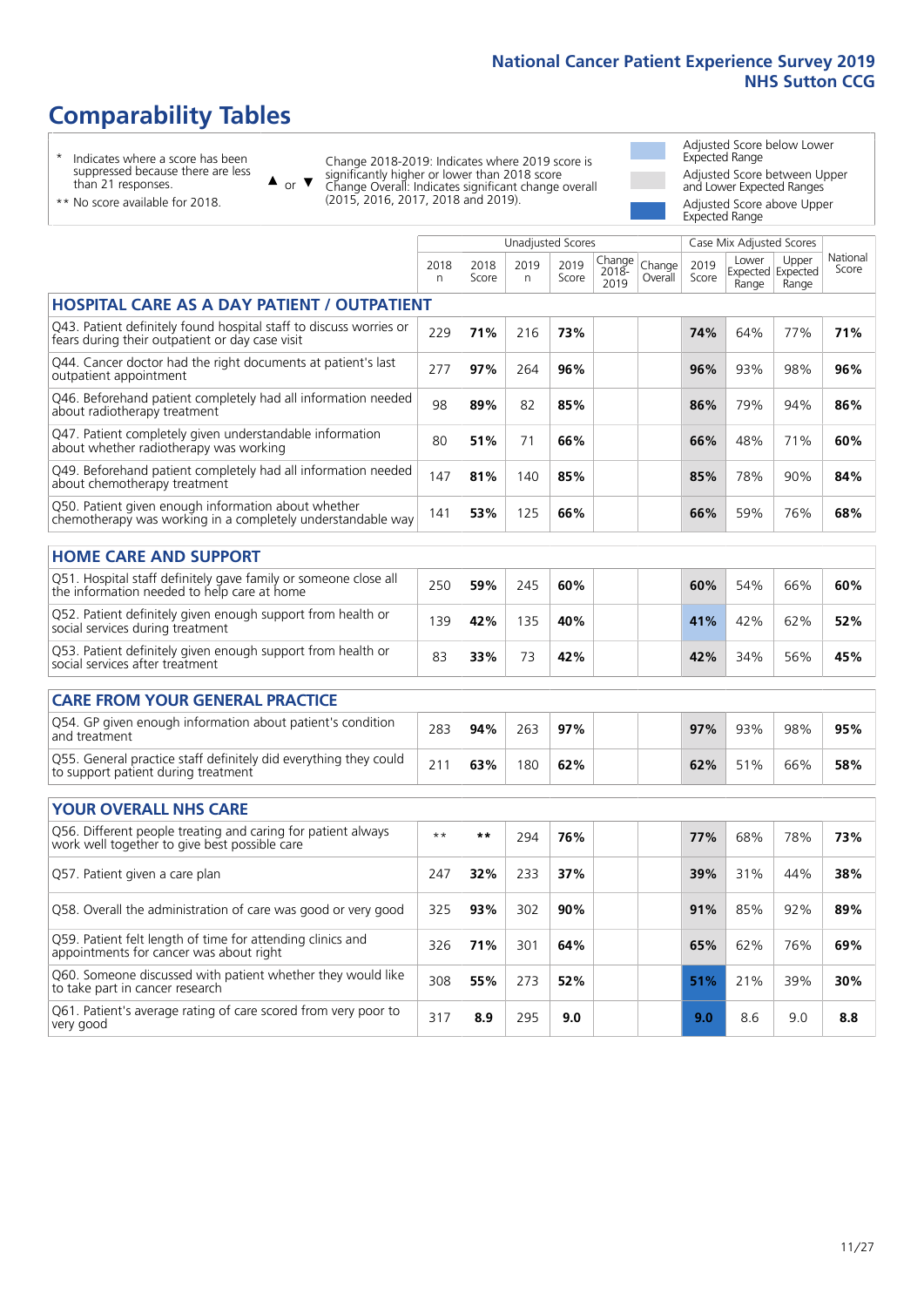# **Comparability Tables**

\* Indicates where a score has been suppressed because there are less than 21 responses.

\*\* No score available for 2018.

 $\triangle$  or  $\nabla$ 

Change 2018-2019: Indicates where 2019 score is significantly higher or lower than 2018 score Change Overall: Indicates significant change overall (2015, 2016, 2017, 2018 and 2019).

Adjusted Score below Lower Expected Range Adjusted Score between Upper and Lower Expected Ranges Adjusted Score above Upper

|                                                                                                                       | Expected Range |               |                          |               |                          |                   |               |                |                                     |                   |  |  |  |
|-----------------------------------------------------------------------------------------------------------------------|----------------|---------------|--------------------------|---------------|--------------------------|-------------------|---------------|----------------|-------------------------------------|-------------------|--|--|--|
|                                                                                                                       |                |               | <b>Unadjusted Scores</b> |               | Case Mix Adjusted Scores |                   |               |                |                                     |                   |  |  |  |
|                                                                                                                       | 2018<br>n      | 2018<br>Score | 2019<br>n                | 2019<br>Score | Change<br>2018-<br>2019  | Change<br>Overall | 2019<br>Score | Lower<br>Range | Upper<br>Expected Expected<br>Range | National<br>Score |  |  |  |
| <b>HOSPITAL CARE AS A DAY PATIENT / OUTPATIENT</b>                                                                    |                |               |                          |               |                          |                   |               |                |                                     |                   |  |  |  |
| Q43. Patient definitely found hospital staff to discuss worries or<br>fears during their outpatient or day case visit | 229            | 71%           | 216                      | 73%           |                          |                   | 74%           | 64%            | 77%                                 | 71%               |  |  |  |
| Q44. Cancer doctor had the right documents at patient's last<br>outpatient appointment                                | 277            | 97%           | 264                      | 96%           |                          |                   | 96%           | 93%            | 98%                                 | 96%               |  |  |  |
| Q46. Beforehand patient completely had all information needed<br>about radiotherapy treatment                         | 98             | 89%           | 82                       | 85%           |                          |                   | 86%           | 79%            | 94%                                 | 86%               |  |  |  |
| Q47. Patient completely given understandable information<br>about whether radiotherapy was working                    | 80             | 51%           | 71                       | 66%           |                          |                   | 66%           | 48%            | 71%                                 | 60%               |  |  |  |
| Q49. Beforehand patient completely had all information needed<br>about chemotherapy treatment                         | 147            | 81%           | 140                      | 85%           |                          |                   | 85%           | 78%            | 90%                                 | 84%               |  |  |  |
| Q50. Patient given enough information about whether<br>chemotherapy was working in a completely understandable way    | 141            | 53%           | 125                      | 66%           |                          |                   | 66%           | 59%            | 76%                                 | 68%               |  |  |  |
| <b>HOME CARE AND SUPPORT</b>                                                                                          |                |               |                          |               |                          |                   |               |                |                                     |                   |  |  |  |
| Q51. Hospital staff definitely gave family or someone close all<br>the information needed to help care at home        | 250            | 59%           | 245                      | 60%           |                          |                   | 60%           | 54%            | 66%                                 | 60%               |  |  |  |
| Q52. Patient definitely given enough support from health or<br>social services during treatment                       | 139            | 42%           | 135                      | 40%           |                          |                   | 41%           | 42%            | 62%                                 | 52%               |  |  |  |
| Q53. Patient definitely given enough support from health or<br>social services after treatment                        | 83             | 33%           | 73                       | 42%           |                          |                   | 42%           | 34%            | 56%                                 | 45%               |  |  |  |
| <b>CARE FROM YOUR GENERAL PRACTICE</b>                                                                                |                |               |                          |               |                          |                   |               |                |                                     |                   |  |  |  |
| Q54. GP given enough information about patient's condition<br>and treatment                                           | 283            | 94%           | 263                      | 97%           |                          |                   | 97%           | 93%            | 98%                                 | 95%               |  |  |  |
| Q55. General practice staff definitely did everything they could<br>to support patient during treatment               | 211            | 63%           | 180                      | 62%           |                          |                   | 62%           | 51%            | 66%                                 | 58%               |  |  |  |
| <b>YOUR OVERALL NHS CARE</b>                                                                                          |                |               |                          |               |                          |                   |               |                |                                     |                   |  |  |  |
|                                                                                                                       |                |               |                          |               |                          |                   |               |                |                                     |                   |  |  |  |
| Q56. Different people treating and caring for patient always<br>work well together to give best possible care         | $***$          | $***$         | 294                      | 76%           |                          |                   | 77%           | 68%            | 78%                                 | 73%               |  |  |  |
| Q57. Patient given a care plan                                                                                        | 247            | 32%           | 233                      | 37%           |                          |                   | 39%           | 31%            | 44%                                 | 38%               |  |  |  |
| Q58. Overall the administration of care was good or very good                                                         | 325            | 93%           | 302                      | 90%           |                          |                   | 91%           | 85%            | 92%                                 | 89%               |  |  |  |
| Q59. Patient felt length of time for attending clinics and<br>appointments for cancer was about right                 | 326            | 71%           | 301                      | 64%           |                          |                   | 65%           | 62%            | 76%                                 | 69%               |  |  |  |
| Q60. Someone discussed with patient whether they would like<br>to take part in cancer research                        | 308            | 55%           | 273                      | 52%           |                          |                   | 51%           | 21%            | 39%                                 | 30%               |  |  |  |
| Q61. Patient's average rating of care scored from very poor to<br>very good                                           | 317            | 8.9           | 295                      | 9.0           |                          |                   | 9.0           | 8.6            | 9.0                                 | 8.8               |  |  |  |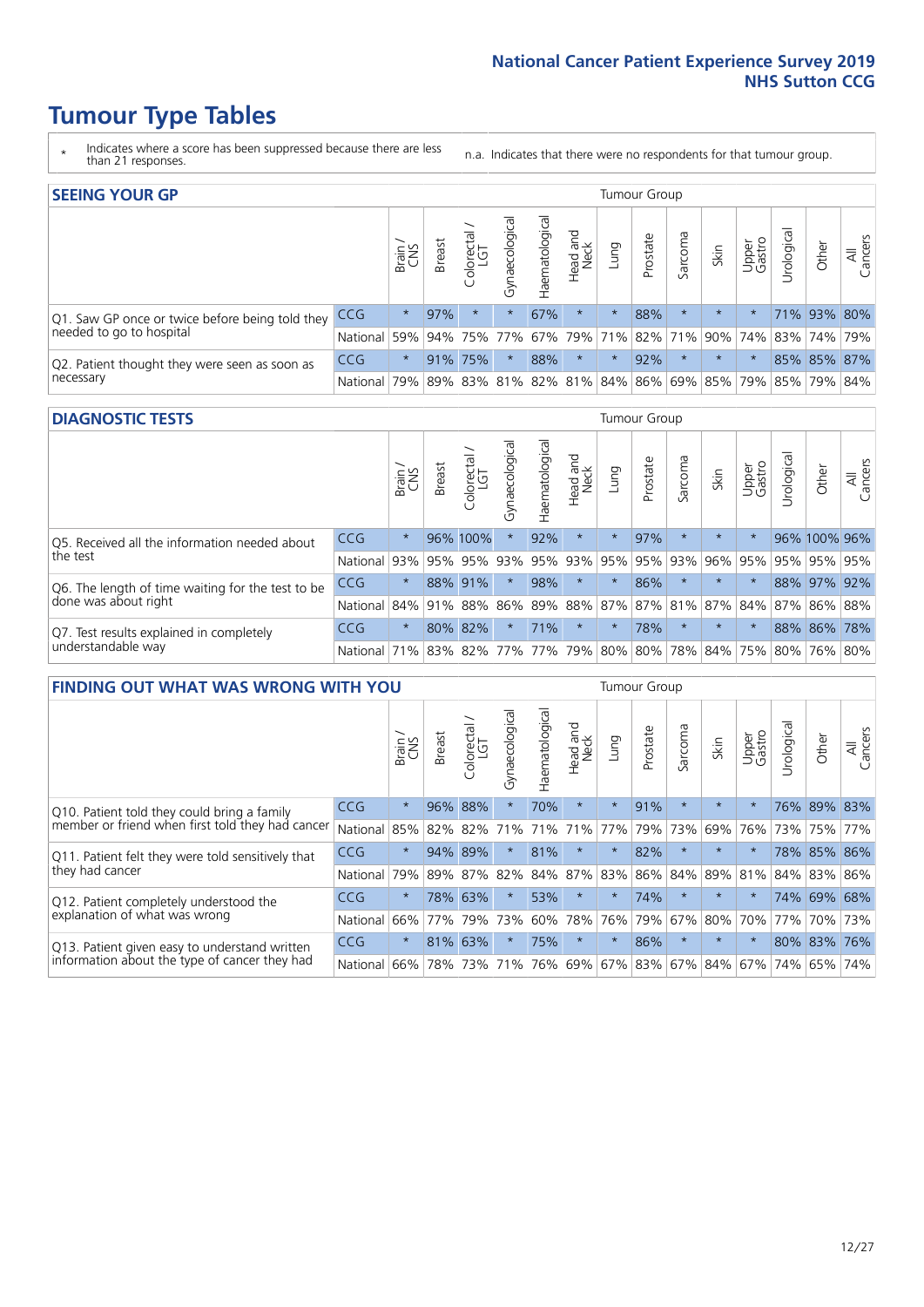- \* Indicates where a score has been suppressed because there are less than 21 responses.
- n.a. Indicates that there were no respondents for that tumour group.

| <b>SEEING YOUR GP</b>                           |            |         |               |            |                    |                |                  |         | Tumour Group |         |         |                 |                                                           |             |                |
|-------------------------------------------------|------------|---------|---------------|------------|--------------------|----------------|------------------|---------|--------------|---------|---------|-----------------|-----------------------------------------------------------|-------------|----------------|
|                                                 |            | Brain   | <b>Breast</b> | Colorectal | ᠊ᢛ<br>Gynaecologic | Haematological | Head and<br>Neck | Lung    | Prostate     | Sarcoma | Skin    | Upper<br>Gastro | $\sigma$<br>Jrologica                                     | Other       | All<br>Cancers |
| Q1. Saw GP once or twice before being told they | <b>CCG</b> | $\star$ | 97%           | $\star$    | $\star$            | 67%            | $\star$          | $\star$ | 88%          | $\star$ | $\star$ |                 |                                                           | 71% 93% 80% |                |
| needed to go to hospital                        | National   | 59%     |               |            | 94% 75% 77%        |                |                  |         |              |         |         |                 | 67%   79%   71%   82%   71%   90%   74%   83%   74%   79% |             |                |
| Q2. Patient thought they were seen as soon as   | <b>CCG</b> | $\star$ |               | 91% 75%    | $\star$            | 88%            | $\star$          | $\star$ | 92%          |         | $\star$ |                 |                                                           | 85% 85% 87% |                |
| necessary                                       | National   | 79%     |               | 89% 83%    |                    |                |                  |         |              |         |         |                 | 81%   82%   81%   84%   86%   69%   85%   79%   85%   79% |             | 84%            |

#### **DIAGNOSTIC TESTS** Tumour Group

|                                                   |                                          | Brain   | <b>Breast</b> | Colorectal<br>LGT | ᠊ᢛ<br>Gynaecologic | Haematological | Head and<br>Neck | Lung        | Prostate | Sarcoma | Skin    | Upper<br>Gastro | rological                                   | Other        | All<br>Cancers |
|---------------------------------------------------|------------------------------------------|---------|---------------|-------------------|--------------------|----------------|------------------|-------------|----------|---------|---------|-----------------|---------------------------------------------|--------------|----------------|
| Q5. Received all the information needed about     | <b>CCG</b>                               | $\star$ |               | 96% 100%          |                    | 92%            | $\star$          | $\star$     | 97%      |         | $\star$ | $\star$         |                                             | 96% 100% 96% |                |
| the test                                          | National                                 | 93%     |               | 95% 95%           |                    | 93% 95%        |                  | 93% 95% 95% |          | 93%     | 96%     | 95%             | 95%                                         | 95% 95%      |                |
| Q6. The length of time waiting for the test to be | <b>CCG</b>                               | $\star$ |               | 88% 91%           | $\star$            | 98%            | $\star$          | $\star$     | 86%      | $\star$ | $\star$ | $\star$         |                                             | 88% 97%      | 92%            |
| done was about right                              | National                                 |         |               | 84% 91% 88%       |                    |                |                  |             |          |         |         |                 | 86% 89% 88% 87% 87% 81% 87% 84% 87% 86% 88% |              |                |
| Q7. Test results explained in completely          | CCG                                      | $\star$ |               | 80% 82%           | $\star$            | 71%            | $\star$          | $\star$     | 78%      | $\star$ | $\star$ | $\star$         |                                             | 88% 86% 78%  |                |
| understandable way                                | National 71% 83% 82% 77% 77% 79% 80% 80% |         |               |                   |                    |                |                  |             |          |         |         |                 | 78% 84% 75% 80% 76% 80%                     |              |                |

| <b>FINDING OUT WHAT WAS WRONG WITH YOU</b>        |          |         |               |                       |                |                   |                        |         | <b>Tumour Group</b> |          |         |                 |            |         |                |
|---------------------------------------------------|----------|---------|---------------|-----------------------|----------------|-------------------|------------------------|---------|---------------------|----------|---------|-----------------|------------|---------|----------------|
|                                                   |          | Brain   | <b>Breast</b> | olorectal<br>LGT<br>Û | Gynaecological | aematologica<br>ェ | ad and<br>Neck<br>Head | Lung    | Prostate            | Sarcoma  | Skin    | Upper<br>Gastro | Urological | Other   | All<br>Cancers |
| Q10. Patient told they could bring a family       | CCG      | $\star$ | 96%           | 88%                   | $\star$        | 70%               | $\star$                | $\star$ | 91%                 | $\star$  | $\star$ | $\star$         | 76%        | 89%     | 83%            |
| member or friend when first told they had cancer  | National | 85%     | 82%           | 82%                   | 71%            | 71%               | 71%                    | 77%     | 79%                 | 73%      | 69%     | 76%             | 73%        | 75%     | 77%            |
| Q11. Patient felt they were told sensitively that | CCG      | $\star$ | 94% 89%       |                       |                | 81%               | $^\star$               | $\star$ | 82%                 | $^\star$ | $\star$ | $\star$         | 78%        | 85%     | 86%            |
| they had cancer                                   | National | 79%     |               | 89% 87%               | 82%            |                   | 84% 87%                | 83%     | 86%                 | 84%      |         | 89% 81%         |            | 84% 83% | 86%            |
| Q12. Patient completely understood the            | CCG      | $\star$ | 78%           | 63%                   |                | 53%               | $\star$                | $\star$ | 74%                 | $\star$  | $\star$ |                 | 74%        | 69% 68% |                |
| explanation of what was wrong                     | National | 66%     | 77%           | 79%                   | 73%            | 60%               | 78%                    | 76%     | 79%                 | 67%      | 80%     | 70%             | 77%        | 70%     | 73%            |
| Q13. Patient given easy to understand written     | CCG      | $\star$ | 81%           | 63%                   |                | 75%               | $\star$                | $\star$ | 86%                 | $\ast$   | $\star$ | $\star$         | 80%        | 83%     | 76%            |
| information about the type of cancer they had     | National | 66%     | 78%           | 73%                   | 71%            | 76%               | 69%                    | 67% 83% |                     | 67%      | 84%     | 67%             | 74%        | 65%     | 74%            |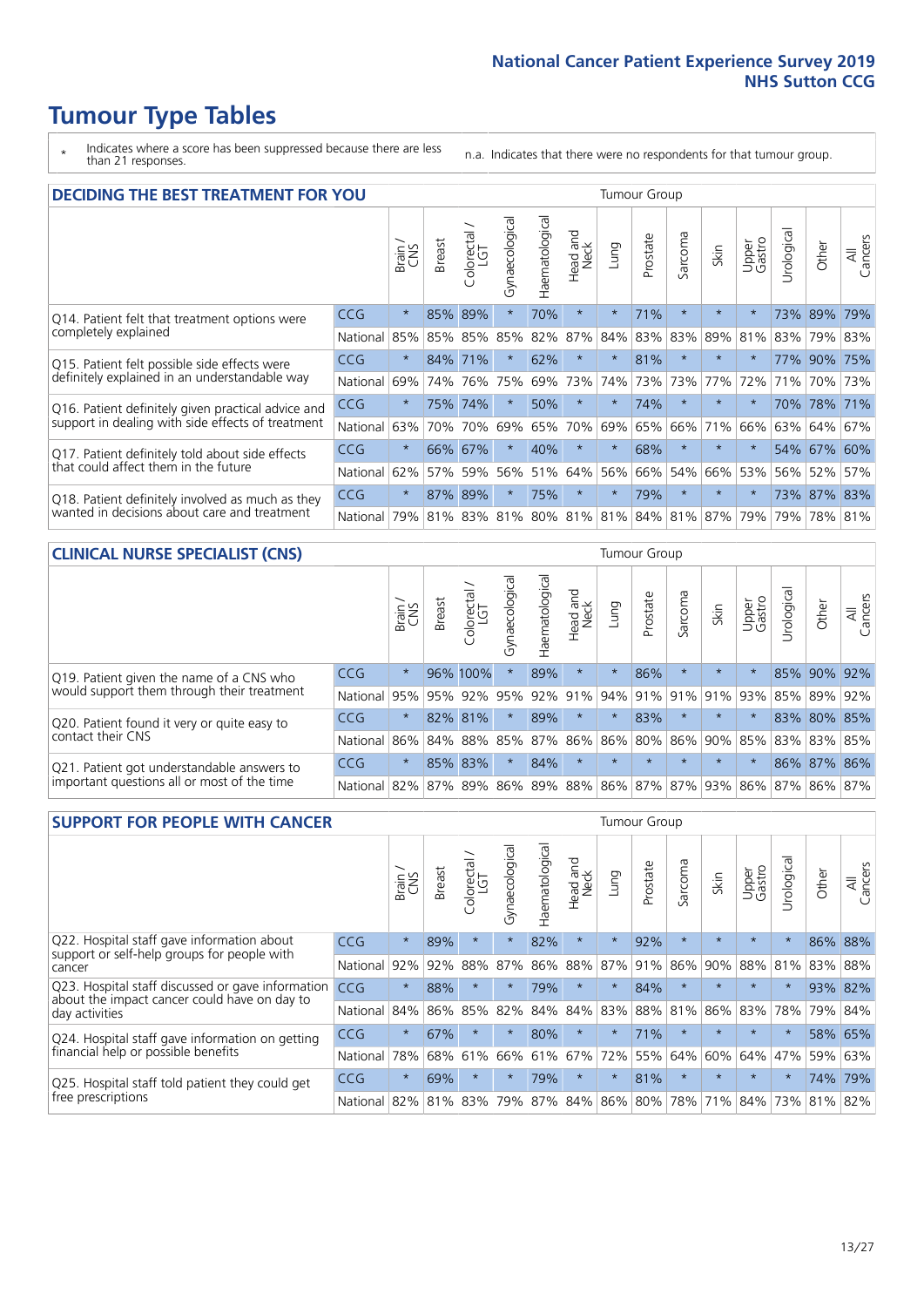- \* Indicates where a score has been suppressed because there are less than 21 responses.
- n.a. Indicates that there were no respondents for that tumour group.

| <b>DECIDING THE BEST TREATMENT FOR YOU</b>         |          |         |               |                        |                                     |                |                         |         | <b>Tumour Group</b> |              |         |                 |            |         |                |
|----------------------------------------------------|----------|---------|---------------|------------------------|-------------------------------------|----------------|-------------------------|---------|---------------------|--------------|---------|-----------------|------------|---------|----------------|
|                                                    |          | Brain   | <b>Breast</b> | olorectal.<br>LGT<br>Ū | Gynaecological                      | Haematological | ead and<br>Neck<br>Head | Lung    | Prostate            | arcoma<br>vĀ | Skin    | Upper<br>Gastro | Jrological | Other   | All<br>Cancers |
| Q14. Patient felt that treatment options were      | CCG      | $\star$ | 85%           | 89%                    | $\star$                             | 70%            | $\star$                 | $\star$ | 71%                 | $\star$      | $\star$ | $\star$         | 73%        | 89%     | 79%            |
| completely explained                               | National | 85%     | 85%           | 85%                    | 85%                                 | 82%            | 87%                     | 84%     | 83%                 | 83%          | 89%     | 81%             |            | 83% 79% | 83%            |
| Q15. Patient felt possible side effects were       | CCG      | $\star$ |               | 84% 71%                | $\star$                             | 62%            | $\star$                 | $\star$ | 81%                 | $\star$      | $\star$ | $\star$         | 77%        | 90%     | 75%            |
| definitely explained in an understandable way      | National | 69%     | 74%           | 76%                    | 75%                                 | 69%            | 73%                     | 74%     | 73%                 | 73%          | 77%     | 72%             | 71%        | 70%     | 73%            |
| Q16. Patient definitely given practical advice and | CCG      | $\star$ | 75%           | 74%                    | $\star$                             | 50%            | $\star$                 | $\star$ | 74%                 | $\star$      | $\star$ | $\star$         | 70%        | 78%     | 171%           |
| support in dealing with side effects of treatment  | National | 63%     | 70%           | 70%                    | 69%                                 | 65%            | 70%                     | 69%     | 65%                 | 66%          | 71%     | 66%             | 63%        | 64%     | 67%            |
| Q17. Patient definitely told about side effects    | CCG      | $\star$ | 66%           | 67%                    | $\star$                             | 40%            | $\star$                 | $\star$ | 68%                 | $\star$      |         | $\star$         |            | 54% 67% | 60%            |
| that could affect them in the future               | National | 62%     | 57%           | 59%                    | 56%                                 | 51%            | 64%                     | 56%     | 66%                 | 54%          | 66%     | 53%             |            | 56% 52% | 57%            |
| Q18. Patient definitely involved as much as they   | CCG      | $\star$ | 87%           | 89%                    | $\star$                             | 75%            | $\star$                 | $\star$ | 79%                 | $\star$      | $\star$ | $\star$         | 73%        | 87%     | 83%            |
| wanted in decisions about care and treatment       | National | 79%     |               |                        | 81% 83% 81% 80% 81% 81% 84% 81% 87% |                |                         |         |                     |              |         | 79%             | 79%        | 78% 81% |                |

#### **CLINICAL NURSE SPECIALIST (CNS)** Tumour Group

|                                             |          | Brain           | <b>Breast</b>   | Colorectal<br>LGT | Gynaecologica | శా<br>aematologi | Head and<br>Neck | Lung    | Prostate | Sarcoma | Skin    | Upper<br>Gastro                               | rological | Other       | All<br>Cancers |
|---------------------------------------------|----------|-----------------|-----------------|-------------------|---------------|------------------|------------------|---------|----------|---------|---------|-----------------------------------------------|-----------|-------------|----------------|
| Q19. Patient given the name of a CNS who    | CCG      | $\star$         |                 | 96% 100%          |               | 89%              | $\star$          |         | 86%      | $\star$ | $\star$ |                                               |           | 85% 90% 92% |                |
| would support them through their treatment  | National | 95%             | 95%             | 92%               | 95%           | 92%              | 91%              |         | 94% 91%  | 91%     | 91%     | 93%                                           | 85%       | 89%         | 92%            |
| Q20. Patient found it very or quite easy to | CCG      | $\star$         |                 | 82% 81%           |               | 89%              | $\star$          | $\star$ | 83%      |         | $\star$ | $\star$                                       | 83%       | 80% 85%     |                |
| contact their CNS                           | National |                 | 86% 84% 88% 85% |                   |               | 87%              | 86%              | 86% 80% |          |         |         | 86% 90% 85%                                   |           | 83% 83%     | 85%            |
| Q21. Patient got understandable answers to  | CCG      | $\star$         |                 | 85% 83%           |               | 84%              | $\star$          | $\star$ | $\star$  | $\star$ | $\star$ | $\star$                                       |           | 86% 87% 86% |                |
| important questions all or most of the time | National | 82% 87% 89% 86% |                 |                   |               |                  |                  |         |          |         |         | 89%   88%   86%   87%   87%   93%   86%   87% |           |             | 86% 87%        |

| <b>SUPPORT FOR PEOPLE WITH CANCER</b>                                                             |            |         |               |            |                |                |                     |         | Tumour Group |                  |         |                 |           |       |                |
|---------------------------------------------------------------------------------------------------|------------|---------|---------------|------------|----------------|----------------|---------------------|---------|--------------|------------------|---------|-----------------|-----------|-------|----------------|
|                                                                                                   |            | Brain   | <b>Breast</b> | Colorectal | Gynaecological | Haematological | and<br>Neck<br>Head | Lung    | Prostate     | arcoma<br>$\sim$ | Skin    | Upper<br>Gastro | Urologica | Other | All<br>Cancers |
| Q22. Hospital staff gave information about<br>support or self-help groups for people with         | <b>CCG</b> | $\star$ | 89%           | $\star$    | $\star$        | 82%            | $\star$             | $\star$ | 92%          | $\star$          | $\star$ | $\star$         | $\star$   | 86%   | 88%            |
| cancer                                                                                            | National   | 92%     | 92%           | 88%        | 87%            | 86%            | 88%                 | 87%     | 91%          | 86%              | 90%     | 88%             | 81%       | 83%   | 88%            |
| Q23. Hospital staff discussed or gave information<br>about the impact cancer could have on day to | CCG        | $\star$ | 88%           | $\star$    | $\star$        | 79%            | $\star$             | $\star$ | 84%          | $\star$          | $\star$ | $\star$         | $\star$   | 93%   | 82%            |
| day activities                                                                                    | National   | 84%     | 86%           | 85%        | 82%            | 84%            | 84%                 | 83%     | 88%          | 81%              | 86%     | 83%             | 78%       | 79%   | 84%            |
| Q24. Hospital staff gave information on getting                                                   | <b>CCG</b> | $\star$ | 67%           | $\star$    | $\star$        | 80%            | $\star$             | $\star$ | 71%          | $\star$          | $\star$ | $\star$         | $\star$   | 58%   | 65%            |
| financial help or possible benefits                                                               | National   | 78%     | 68%           | 61%        | 66%            | 61%            | 67%                 | 72%     | 55%          | 64%              | 60%     | 64%             | 47%       | 59%   | 63%            |
| Q25. Hospital staff told patient they could get                                                   | <b>CCG</b> | $\star$ | 69%           | $\star$    | $\star$        | 79%            | $\star$             | $\star$ | 81%          | $\star$          | $\star$ | $\star$         | $\star$   | 74%   | 79%            |
| free prescriptions                                                                                | National   | 82%     | 81%           | 83%        | 79%            | 87%            | 84%                 | 86%     | 80%          | 78%              | 71%     | 84%             | 73%       | 81%   | 82%            |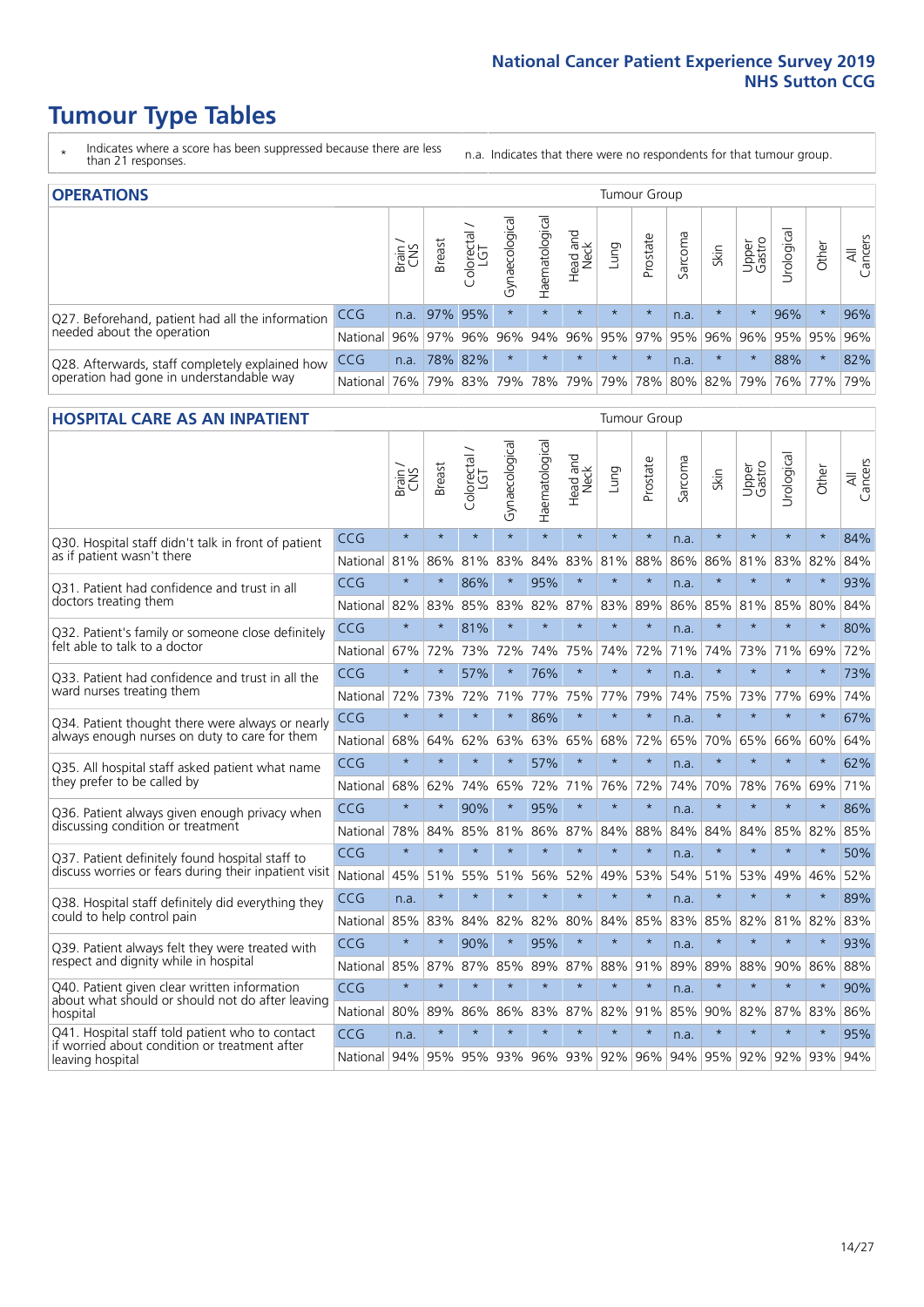- \* Indicates where a score has been suppressed because there are less than 21 responses.
- n.a. Indicates that there were no respondents for that tumour group.

| <b>OPERATIONS</b>                                |              |       |               |            |                |                     |                         |         | Tumour Group        |         |         |                 |                                  |         |                |
|--------------------------------------------------|--------------|-------|---------------|------------|----------------|---------------------|-------------------------|---------|---------------------|---------|---------|-----------------|----------------------------------|---------|----------------|
|                                                  |              | Brain | <b>Breast</b> | Colorectal | Gynaecological | Haematological      | Head and<br>Neck        | Lung    | Prostate            | Sarcoma | Skin    | Upper<br>Gastro | $\overline{\sigma}$<br>Jrologica | Other   | All<br>Cancers |
| Q27. Beforehand, patient had all the information | <b>CCG</b>   | n.a.  |               | 97% 95%    | $\star$        |                     | $\star$                 | $\star$ | $\star$             | n.a.    | $\star$ |                 | 96%                              | $\star$ | 96%            |
| needed about the operation                       | National I   |       | 96% 97% 96%   |            | 96%            |                     | 94% 96% 95% 97% 95% 96% |         |                     |         |         | 96%             | 95% 95%                          |         | 96%            |
| Q28. Afterwards, staff completely explained how  | <b>CCG</b>   | n.a.  |               | 78% 82%    | $\star$        |                     | $\star$                 | $\star$ | $\star$             | n.a.    | $\star$ | $\star$         | 88%                              | $\star$ | 82%            |
| operation had gone in understandable way         | National 76% |       |               |            |                | 79% 83% 79% 78% 79% |                         |         | 79% 78% 80% 82% 79% |         |         |                 |                                  | 76% 77% | 79%            |

#### **HOSPITAL CARE AS AN INPATIENT** Tumour Group

|                                                                                                   |          | Brain   | Breast  | Colorectal /<br>LGT | Gynaecological | Haematological  | Head and<br>Neck | Lung        | Prostate | Sarcoma | Skin    | Upper<br>Gastro | Urological | Other   | All<br>Cancers |
|---------------------------------------------------------------------------------------------------|----------|---------|---------|---------------------|----------------|-----------------|------------------|-------------|----------|---------|---------|-----------------|------------|---------|----------------|
| Q30. Hospital staff didn't talk in front of patient<br>as if patient wasn't there                 | CCG      | $\star$ | $\star$ | $\star$             | $\star$        | $\star$         | $\star$          | $\star$     | $\star$  | n.a.    | $\star$ | $\star$         | $\star$    | $\star$ | 84%            |
|                                                                                                   | National | 81%     | 86%     | 81%                 | 83%            | 84%             | 83%              | 81%         | 88%      | 86%     | 86%     | 81%             | 83%        | 82%     | 84%            |
| Q31. Patient had confidence and trust in all<br>doctors treating them                             | CCG      | $\star$ | $\star$ | 86%                 | $\star$        | 95%             | $\star$          | $\star$     | $\star$  | n.a.    | $\star$ | $\star$         | $\star$    | $\star$ | 93%            |
|                                                                                                   | National | 82%     | 83%     | 85%                 | 83%            | 82%             |                  | 87% 83%     | 89%      | 86%     | 85%     | 81%             | 85%        | 80%     | 84%            |
| Q32. Patient's family or someone close definitely<br>felt able to talk to a doctor                | CCG      | $\star$ | $\star$ | 81%                 | $\star$        | $\star$         | $\star$          | $\star$     | $\star$  | n.a.    | $\star$ |                 | $\star$    | $\star$ | 80%            |
|                                                                                                   | National | 67%     | 72%     | 73%                 | 72%            | 74%             | 75%              | 74%         | 72%      | 71%     | 74%     |                 | 73% 71%    | 69%     | 72%            |
| Q33. Patient had confidence and trust in all the<br>ward nurses treating them                     | CCG      | $\star$ | $\star$ | 57%                 | $\star$        | 76%             | $\star$          | $\star$     | $\star$  | n.a.    | $\star$ | $\star$         | $\star$    | $\star$ | 73%            |
|                                                                                                   | National | 72%     | 73%     | 72%                 | 71%            | 77%             | 75%              | 77%         | 79%      | 74%     | 75%     | 73%             | 77%        | 69%     | 74%            |
| Q34. Patient thought there were always or nearly<br>always enough nurses on duty to care for them | CCG      | $\star$ | $\star$ | $\star$             | $\star$        | 86%             | $\star$          | $\star$     | $\star$  | n.a.    | $\star$ | $\star$         | $\star$    | $\star$ | 67%            |
|                                                                                                   | National | 68%     | 64%     | 62%                 | 63%            | 63%             | 65%              | 68%         | 72%      | 65%     | 70%     | 65%             | 66%        | 60%     | 64%            |
| Q35. All hospital staff asked patient what name                                                   | CCG      | $\star$ | $\star$ | $\star$             | $\star$        | 57%             | $\star$          | $\star$     | $\star$  | n.a.    | $\star$ |                 | $\star$    | $\star$ | 62%            |
| they prefer to be called by                                                                       | National | 68%     | 62%     | 74%                 | 65%            | 72%             | 71%              | 76%         | 72%      | 74%     | 70%     | 78%             | 76%        | 69%     | 71%            |
| Q36. Patient always given enough privacy when                                                     | CCG      | $\star$ | $\star$ | 90%                 | $\star$        | 95%             | $\star$          | $\star$     | $\star$  | n.a.    | $\star$ | $\star$         | $\star$    | $\star$ | 86%            |
| discussing condition or treatment                                                                 | National | 78%     | 84%     | 85%                 | 81%            |                 | 86% 87%          | 84%         | 88%      | 84%     | 84%     | 84%             | 85%        | 82%     | 85%            |
| Q37. Patient definitely found hospital staff to                                                   | CCG      | $\star$ | $\star$ | $\star$             | $\star$        | $\star$         | $\star$          | $\star$     | $\star$  | n.a.    | $\star$ |                 | $\star$    | $\star$ | 50%            |
| discuss worries or fears during their inpatient visit                                             | National | 45%     | 51%     | 55%                 | 51%            | 56%             | 52%              | 49%         | 53%      | 54%     | 51%     | 53%             | 49%        | 46%     | 52%            |
| Q38. Hospital staff definitely did everything they                                                | CCG      | n.a.    | $\star$ | $\star$             | $\star$        | $\star$         | $\star$          | $\star$     | $\star$  | n.a.    | $\star$ | $\star$         | $\star$    | $\star$ | 89%            |
| could to help control pain                                                                        | National | 85%     | 83%     | 84%                 | 82%            | 82%             | 80%              | 84%         | 85%      | 83%     | 85%     | 82%             | 81%        | 82%     | 83%            |
| Q39. Patient always felt they were treated with                                                   | CCG      | $\star$ | $\star$ | 90%                 | $\star$        | 95%             | $\star$          | $\star$     | $\star$  | n.a.    | $\star$ |                 | $\star$    |         | 93%            |
| respect and dignity while in hospital                                                             | National | 85%     | 87%     | 87%                 | 85%            | 89%             |                  | 87% 88%     | 91%      | 89%     | 89%     | 88%             | 90%        | 86%     | 88%            |
| Q40. Patient given clear written information<br>about what should or should not do after leaving  | CCG      | $\star$ | $\star$ | $\star$             | $\star$        | $\star$         | $\star$          | $\star$     | $\star$  | n.a.    | $\star$ | $\star$         | $\star$    | $\star$ | 90%            |
| hospital                                                                                          | National | 80%     | 89%     | 86%                 |                | 86% 83% 87% 82% |                  |             | 91%      | 85%     | 90%     |                 | 82% 87%    | 83%     | 86%            |
| Q41. Hospital staff told patient who to contact<br>if worried about condition or treatment after  | CCG      | n.a.    | $\star$ | $\star$             | $\star$        | $\star$         | $\star$          | $\star$     | $\star$  | n.a.    | $\star$ | $\star$         | $\star$    | $\star$ | 95%            |
| leaving hospital                                                                                  | National | 94%     | 95%     | 95%                 | 93%            |                 |                  | 96% 93% 92% | 96%      | 94%     | 95%     | 92%             | 92%        | 93%     | 94%            |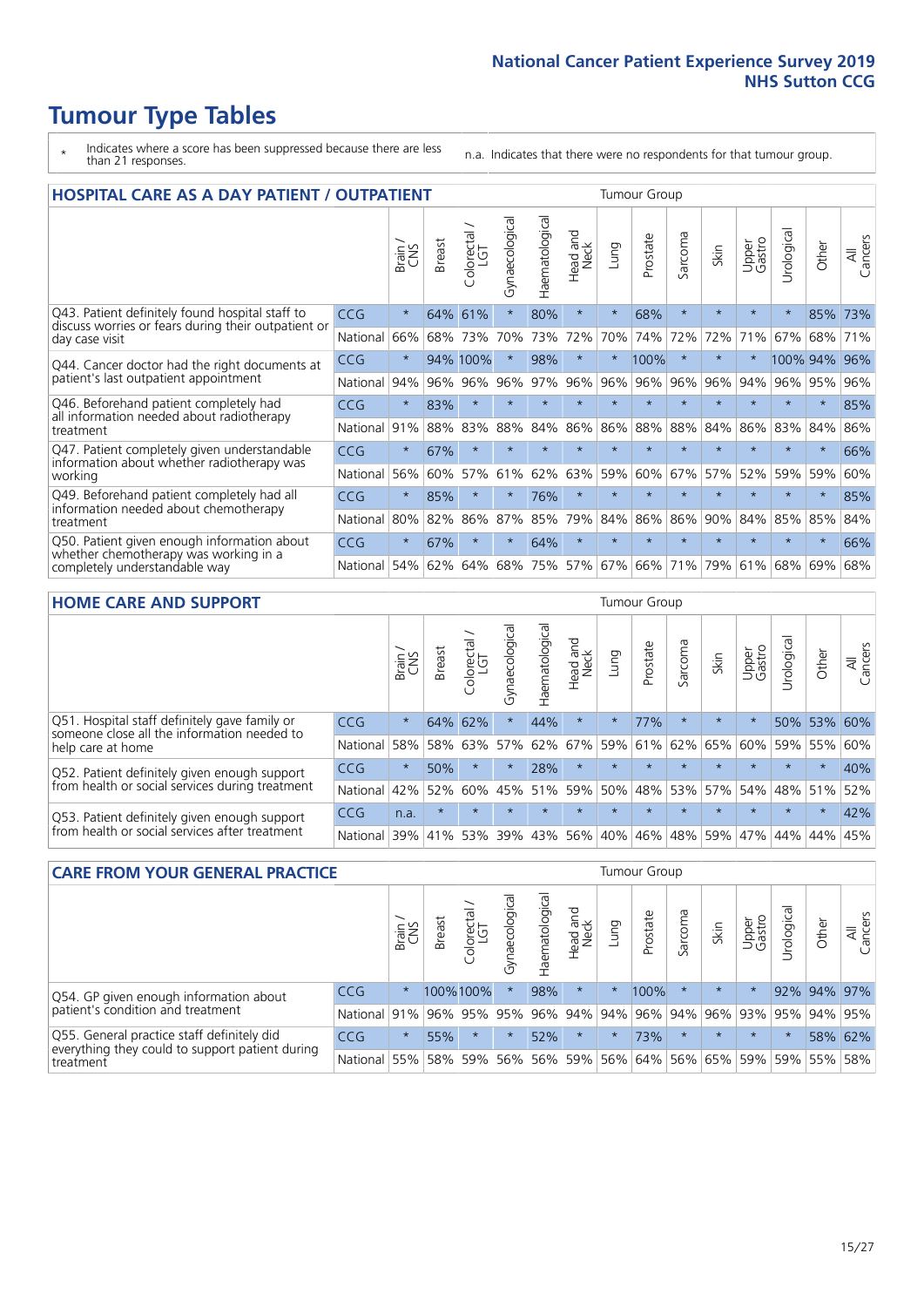- \* Indicates where a score has been suppressed because there are less than 21 responses.
- n.a. Indicates that there were no respondents for that tumour group.

| <b>HOSPITAL CARE AS A DAY PATIENT / OUTPATIENT</b>                                                                    | <b>Tumour Group</b> |         |               |                            |                |                |                         |         |          |         |         |                 |            |         |                |
|-----------------------------------------------------------------------------------------------------------------------|---------------------|---------|---------------|----------------------------|----------------|----------------|-------------------------|---------|----------|---------|---------|-----------------|------------|---------|----------------|
|                                                                                                                       |                     | Brain   | <b>Breast</b> | ╮<br>olorectal<br>LGT<br>Ü | Gynaecological | Haematological | aad and<br>Neck<br>Head | Lung    | Prostate | Sarcoma | Skin    | Upper<br>Gastro | Urological | Other   | All<br>Cancers |
| Q43. Patient definitely found hospital staff to                                                                       | CCG                 | $\star$ | 64%           | 61%                        | $\star$        | 80%            | $\star$                 | $\star$ | 68%      | $\star$ | $\star$ | $\star$         | $\star$    | 85%     | 73%            |
| discuss worries or fears during their outpatient or<br>day case visit                                                 | National            | 66%     | 68%           | 73%                        | 70%            | 73%            | 72%                     | 70%     | 74%      | 72%     | 72%     | 71%             | 67%        | 68%     | 71%            |
| Q44. Cancer doctor had the right documents at<br>patient's last outpatient appointment                                | CCG                 | $\star$ |               | 94% 100%                   | $\star$        | 98%            | $\star$                 | $\star$ | 100%     | $\star$ |         |                 | 100% 94%   |         | 96%            |
|                                                                                                                       | National            | 94%     | 96%           | 96%                        | 96%            | 97%            | 96%                     | 96%     | 96%      | 96%     | 96%     | 94%             | 96%        | 95%     | 96%            |
| Q46. Beforehand patient completely had                                                                                | <b>CCG</b>          | $\star$ | 83%           | $\star$                    | $\star$        | $\star$        | $\star$                 | $\star$ | $\star$  | $\star$ |         | $\star$         | $\star$    | $\ast$  | 85%            |
| all information needed about radiotherapy<br>treatment                                                                | National            | 91%     | 88%           | 83%                        | 88%            | 84%            | 86%                     | 86%     | 88%      | 88%     | 84%     | 86%             | 83%        | 84%     | 86%            |
| Q47. Patient completely given understandable                                                                          | CCG                 | $\star$ | 67%           | $\star$                    | $\star$        |                | $\star$                 | $\star$ | $\star$  | $\star$ |         | $\star$         | $\star$    | $\star$ | 66%            |
| information about whether radiotherapy was<br>working                                                                 | National            | 56%     | 60%           | 57%                        | 61%            | 62%            | 63%                     | 59%     | 60%      | 67%     | 57%     | 52%             | 59%        | 59%     | 60%            |
| Q49. Beforehand patient completely had all                                                                            | <b>CCG</b>          | $\star$ | 85%           | $\star$                    |                | 76%            | $\star$                 | $\star$ | $\star$  | $\star$ | $\star$ | $\star$         | $\star$    | $\ast$  | 85%            |
| information needed about chemotherapy<br>treatment                                                                    | National            | 80%     | 82%           | 86%                        | 87%            | 85%            | 79%                     | 84%     | 86%      | 86%     | 90%     | 84%             | 85%        | 85%     | 84%            |
| Q50. Patient given enough information about<br>whether chemotherapy was working in a<br>completely understandable way | <b>CCG</b>          | $\star$ | 67%           | $\star$                    | $\star$        | 64%            | $\star$                 | $\star$ | $\star$  | $\star$ | $\star$ | $\star$         | $\star$    | $\star$ | 66%            |
|                                                                                                                       | National            | 54%     | 62%           | 64%                        | 68%            | 75%            | 57%                     | 67%     | 66%      | 71%     | 79%     | 61%             | 68%        | 69%     | 68%            |

#### **HOME CARE AND SUPPORT** Tumour Group

|                                                                                                                   |            | Brain   | <b>Breast</b> | Colorectal<br>LGT | ᢛ<br>Gynaecologic | Haematological | ad and<br>Neck<br>Head | <b>Lung</b> | Prostate | Sarcoma | Skin    | Upper<br>Gastro | Urological  | Other   | All<br>Cancers |
|-------------------------------------------------------------------------------------------------------------------|------------|---------|---------------|-------------------|-------------------|----------------|------------------------|-------------|----------|---------|---------|-----------------|-------------|---------|----------------|
| Q51. Hospital staff definitely gave family or<br>someone close all the information needed to<br>help care at home | <b>CCG</b> | $\star$ |               | 64% 62%           | $\star$           | 44%            | $\ast$                 | $\star$     | 77%      |         | $\star$ | $\star$         |             | 50% 53% | 60%            |
|                                                                                                                   | National   | 58%     | 58%           | 63%               | 57%               | 62%            | 67%                    | 59%         | 61%      |         | 62% 65% | 60%             | 59%         | 55%     | 60%            |
| Q52. Patient definitely given enough support<br>from health or social services during treatment                   | <b>CCG</b> | $\star$ | 50%           | $\star$           | $\star$           | 28%            | $\star$                | $\star$     | $\star$  |         | $\star$ | $\star$         | $\star$     | $\star$ | 40%            |
|                                                                                                                   | National   | 42%     | 52%           | 60%               |                   | 45% 51%        | 59%                    | 50%         | 48%      |         | 53% 57% |                 | 54% 48% 51% |         | 52%            |
| Q53. Patient definitely given enough support<br>from health or social services after treatment                    | <b>CCG</b> | n.a.    | $\star$       | $\star$           | $\star$           | $\star$        | $\star$                | $\star$     | $\star$  | $\star$ | $\star$ | $\star$         | $\star$     | $\star$ | 42%            |
|                                                                                                                   | National   | 39%     |               | 41% 53%           | 39%               | 43%            | 56%                    | 40%         | 46%      |         | 48% 59% | 47%             | 44%         | 44%     | 45%            |

| <b>CARE FROM YOUR GENERAL PRACTICE</b>                                                                     |              |         |               |                   |                |                | <b>Tumour Group</b> |         |                             |         |                         |                 |                |             |                |
|------------------------------------------------------------------------------------------------------------|--------------|---------|---------------|-------------------|----------------|----------------|---------------------|---------|-----------------------------|---------|-------------------------|-----------------|----------------|-------------|----------------|
|                                                                                                            |              | Brain,  | <b>Breast</b> | Colorectal<br>LGT | Gynaecological | Haematological | Head and<br>Neck    | Lung    | Prostate                    | Sarcoma | Skin                    | Upper<br>Gastro | Φ<br>Urologica | Other       | All<br>Cancers |
| Q54. GP given enough information about<br>patient's condition and treatment                                | <b>CCG</b>   | $\star$ |               | 100%100%          | $\star$        | 98%            | $\star$             | $\star$ | 100%                        | $\star$ | $\star$                 | $\star$         |                | 92% 94% 97% |                |
|                                                                                                            | National 91% |         |               |                   | 96% 95% 95%    |                |                     |         | 96% 94% 94% 96%             |         | 94% 96% 93% 95% 94% 95% |                 |                |             |                |
| Q55. General practice staff definitely did<br>everything they could to support patient during<br>treatment | <b>CCG</b>   | $\star$ | 55%           | $\star$           | $\star$        | 52%            | $\star$             | $\star$ | 73%                         | $\star$ | $\star$                 | $\star$         | $\star$        |             | 58% 62%        |
|                                                                                                            | National 55% |         |               | 58% 59%           | 56%            |                |                     |         | 56% 59% 56% 64% 56% 65% 59% |         |                         |                 |                | 59% 55%     | 58%            |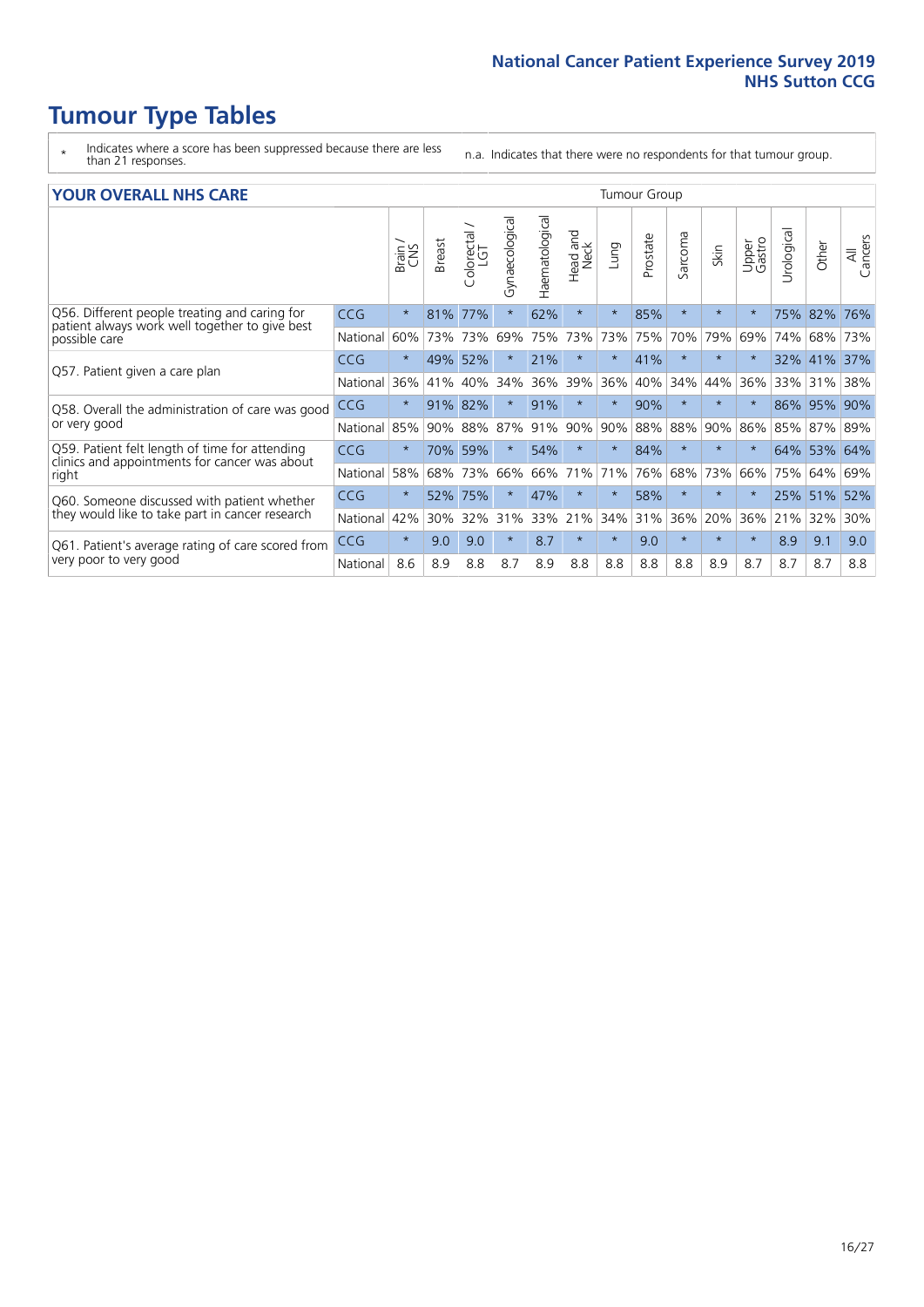- \* Indicates where a score has been suppressed because there are less than 21 responses.
- n.a. Indicates that there were no respondents for that tumour group.

#### **YOUR OVERALL NHS CARE** THE TWO CONTROLLER THE THE THROUP CHANGE THE TUMOUR GROUP

|            | Brain   | <b>Breast</b> | Colorectal | Gynaecological     | Haematological | <b>Bad and<br/>Neck</b><br>Head | Lung    | Prostate | Sarcoma    | Skin    | Upper<br>Gastro | Urological | Other | All<br>Cancers                                             |  |  |  |  |  |  |
|------------|---------|---------------|------------|--------------------|----------------|---------------------------------|---------|----------|------------|---------|-----------------|------------|-------|------------------------------------------------------------|--|--|--|--|--|--|
| <b>CCG</b> | $\star$ | 81%           | 77%        | $\star$            | 62%            | $\star$                         | $\star$ | 85%      | $\star$    | $\star$ | $\star$         | 75%        |       | 76%                                                        |  |  |  |  |  |  |
| National   | 60%     |               |            | 69%                | 75%            | 73%                             | 73%     | 75%      | 70%        | 79%     | 69%             | 74%        |       | 73%                                                        |  |  |  |  |  |  |
| <b>CCG</b> | $\star$ | 49%           | 52%        |                    | 21%            | $\star$                         | $\star$ | 41%      | $\star$    | $\star$ | $\star$         | 32%        |       | 37%                                                        |  |  |  |  |  |  |
| National   | 36%     | 41%           | 40%        | 34%                | 36%            | 39%                             | 36%     | 40%      | 34%        | 44%     | 36%             | 33%        | 31%   | 38%                                                        |  |  |  |  |  |  |
| <b>CCG</b> | $\star$ | 91%           | 82%        |                    | 91%            | $\star$                         | $\star$ | 90%      | $\star$    | $\star$ |                 | 86%        |       | 90%                                                        |  |  |  |  |  |  |
| National   | 85%     | 90%           | 88%        | 87%                | 91%            | 90%                             | 90%     |          | 88%        | 90%     | 86%             | 85%        |       |                                                            |  |  |  |  |  |  |
| <b>CCG</b> | $\star$ |               |            | $\star$            | 54%            | $\star$                         | $\star$ | 84%      | $\star$    | $\star$ | $\star$         |            |       | 64%                                                        |  |  |  |  |  |  |
| National   | 58%     | 68%           | 73%        | 66%                | 66%            | 71%                             | 71%     | 76%      | 68%        | 73%     | 66%             | 75%        | 64%   | 69%                                                        |  |  |  |  |  |  |
| <b>CCG</b> | $\star$ | 52%           | 75%        | $\star$            | 47%            | $\star$                         | $\star$ | 58%      | $\star$    | $\star$ |                 | 25%        |       | 52%                                                        |  |  |  |  |  |  |
| National   | 42%     | 30%           | 32%        | 31%                | 33%            | 21%                             | 34%     |          | 36%        | 20%     | 36%             | 21%        | 32%   | 30%                                                        |  |  |  |  |  |  |
| <b>CCG</b> | $\star$ | 9.0           | 9.0        | $\star$            | 8.7            | $\star$                         | $\star$ | 9.0      | $\star$    | $\star$ | $\star$         | 8.9        | 9.1   | 9.0                                                        |  |  |  |  |  |  |
| National   | 8.6     | 8.9           | 8.8        | 8.7                | 8.9            | 8.8                             | 8.8     | 8.8      | 8.8        | 8.9     | 8.7             | 8.7        | 8.7   | 8.8                                                        |  |  |  |  |  |  |
|            |         |               |            | 73% 73%<br>70% 59% |                |                                 |         |          | 88%<br>31% |         |                 |            |       | 82%<br>68%<br>$ 41\% $<br>95%<br>87% 89%<br>64% 53%<br>51% |  |  |  |  |  |  |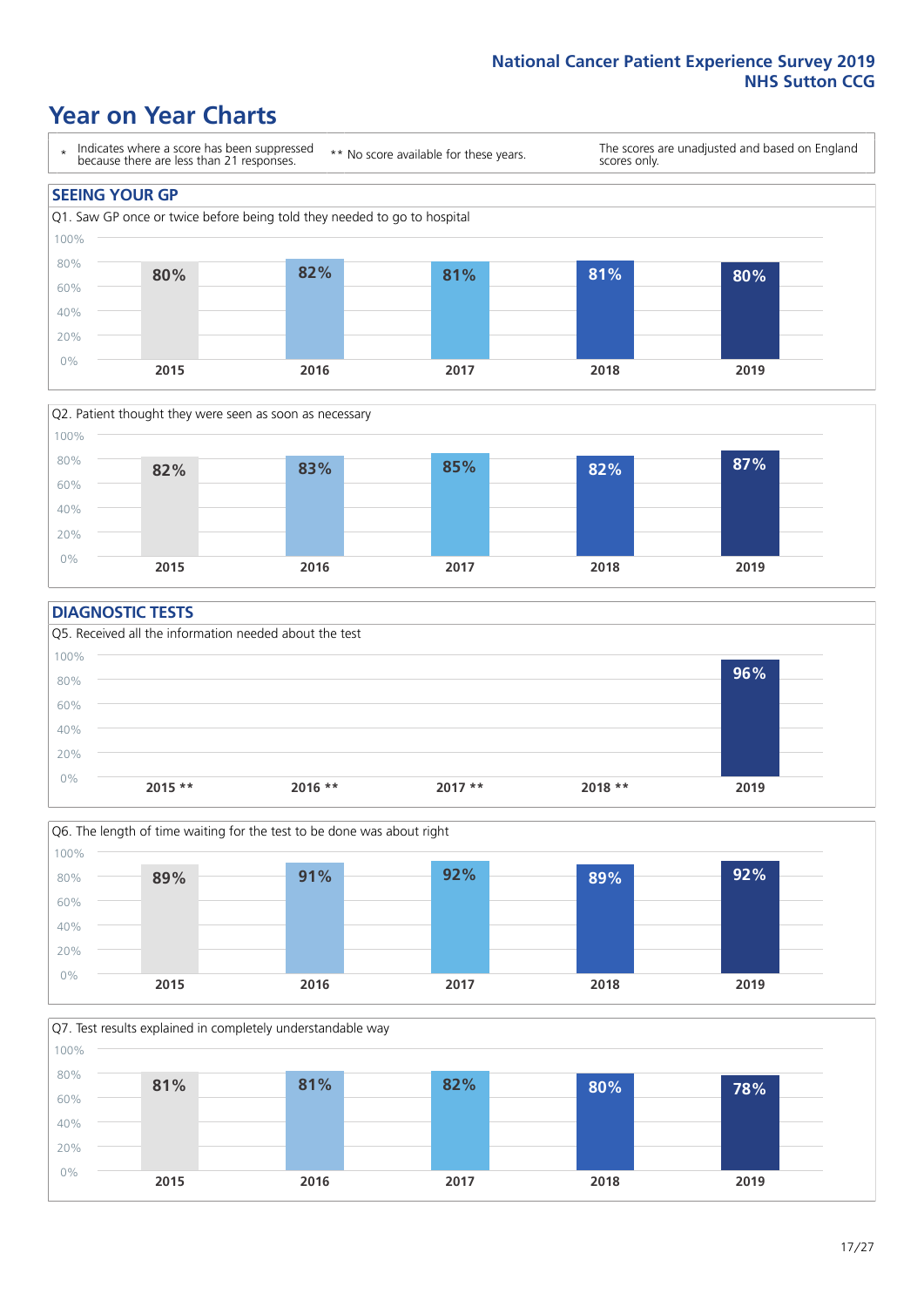### **Year on Year Charts**





#### **DIAGNOSTIC TESTS**





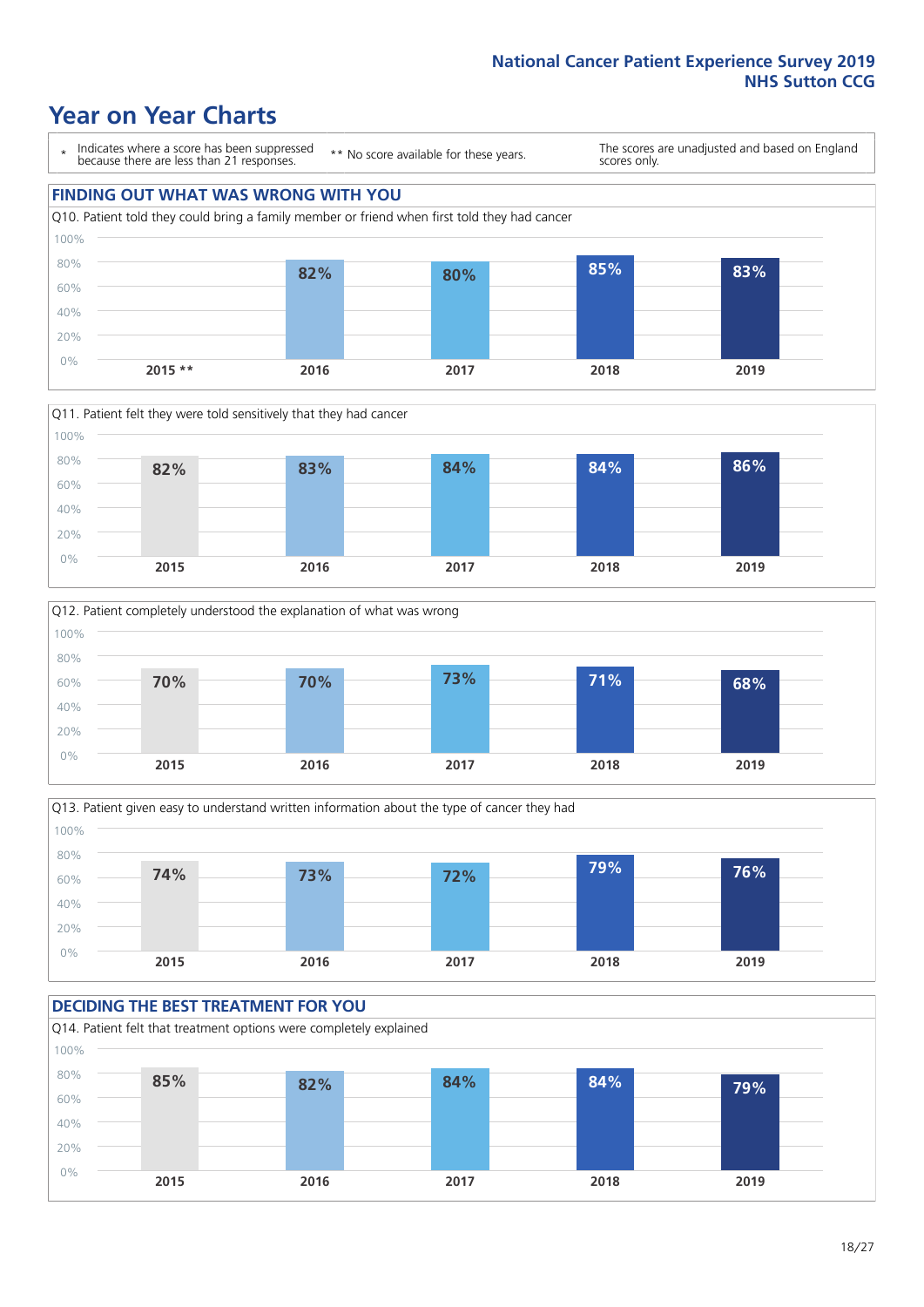### **Year on Year Charts**









#### **DECIDING THE BEST TREATMENT FOR YOU**

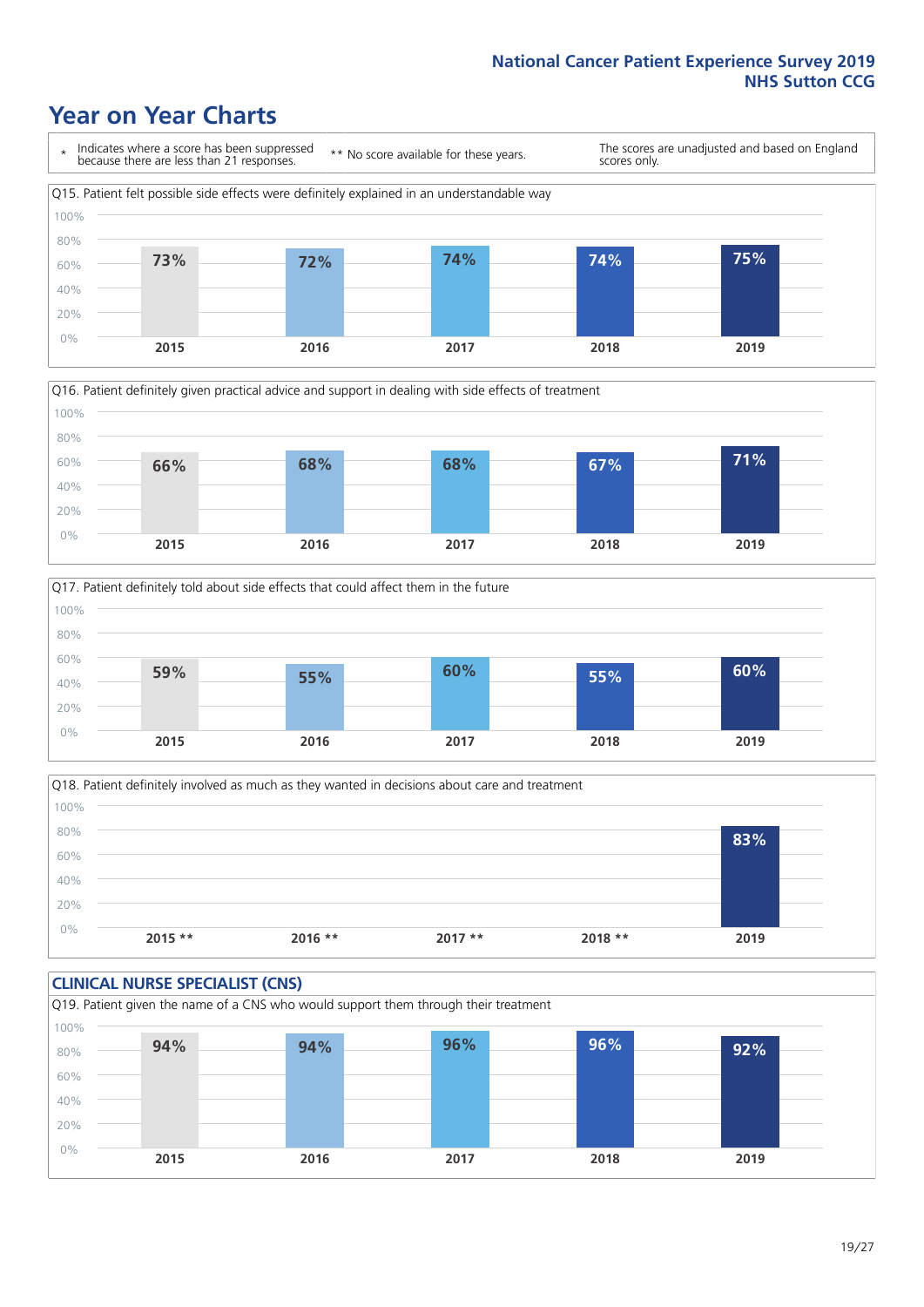### **Year on Year Charts**







Q18. Patient definitely involved as much as they wanted in decisions about care and treatment  $0%$ 20% 40% 60% 80% 100% **2015 \*\* 2016 \*\* 2017 \*\* 2018 \*\* 2019 83%**

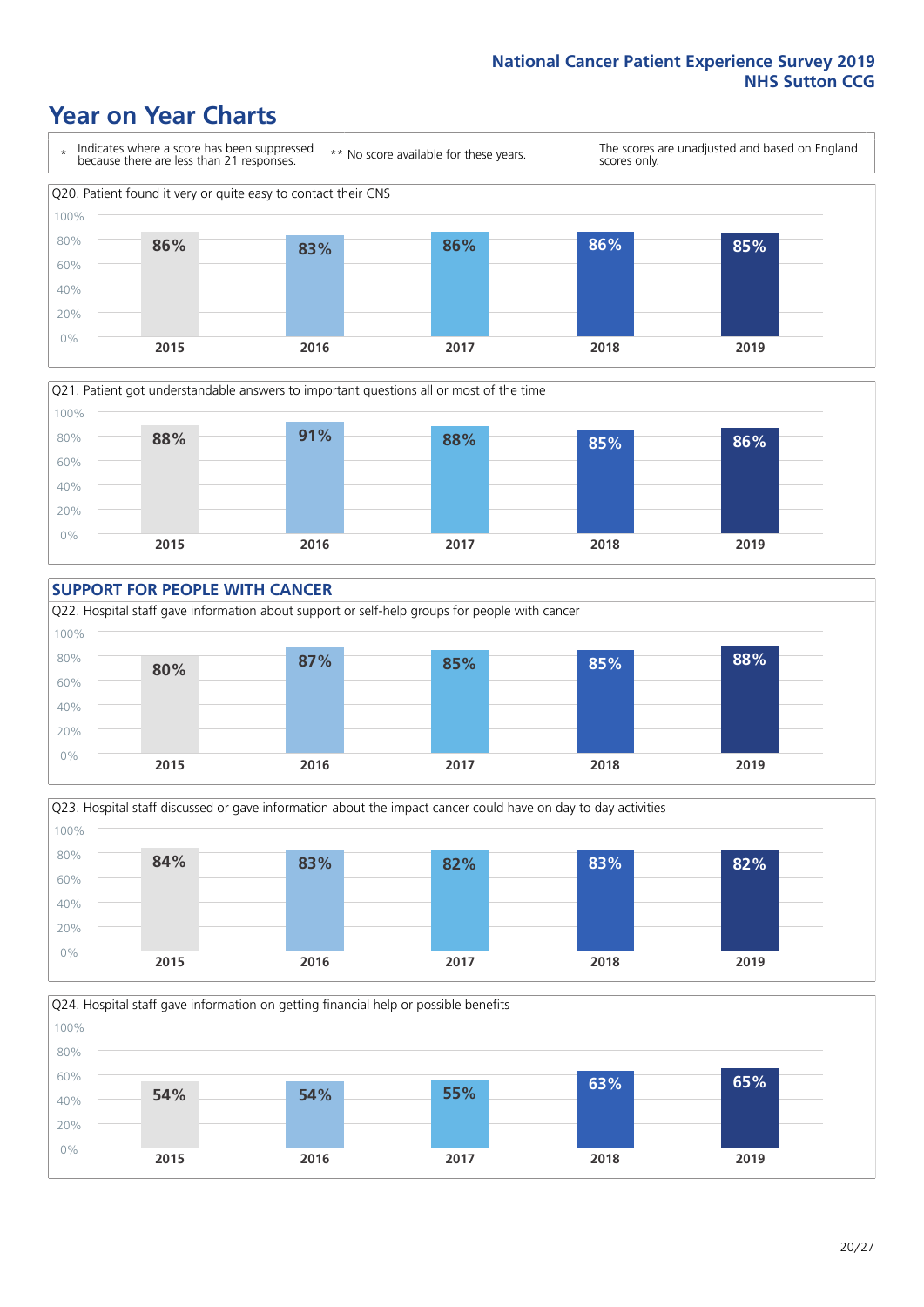### **Year on Year Charts**









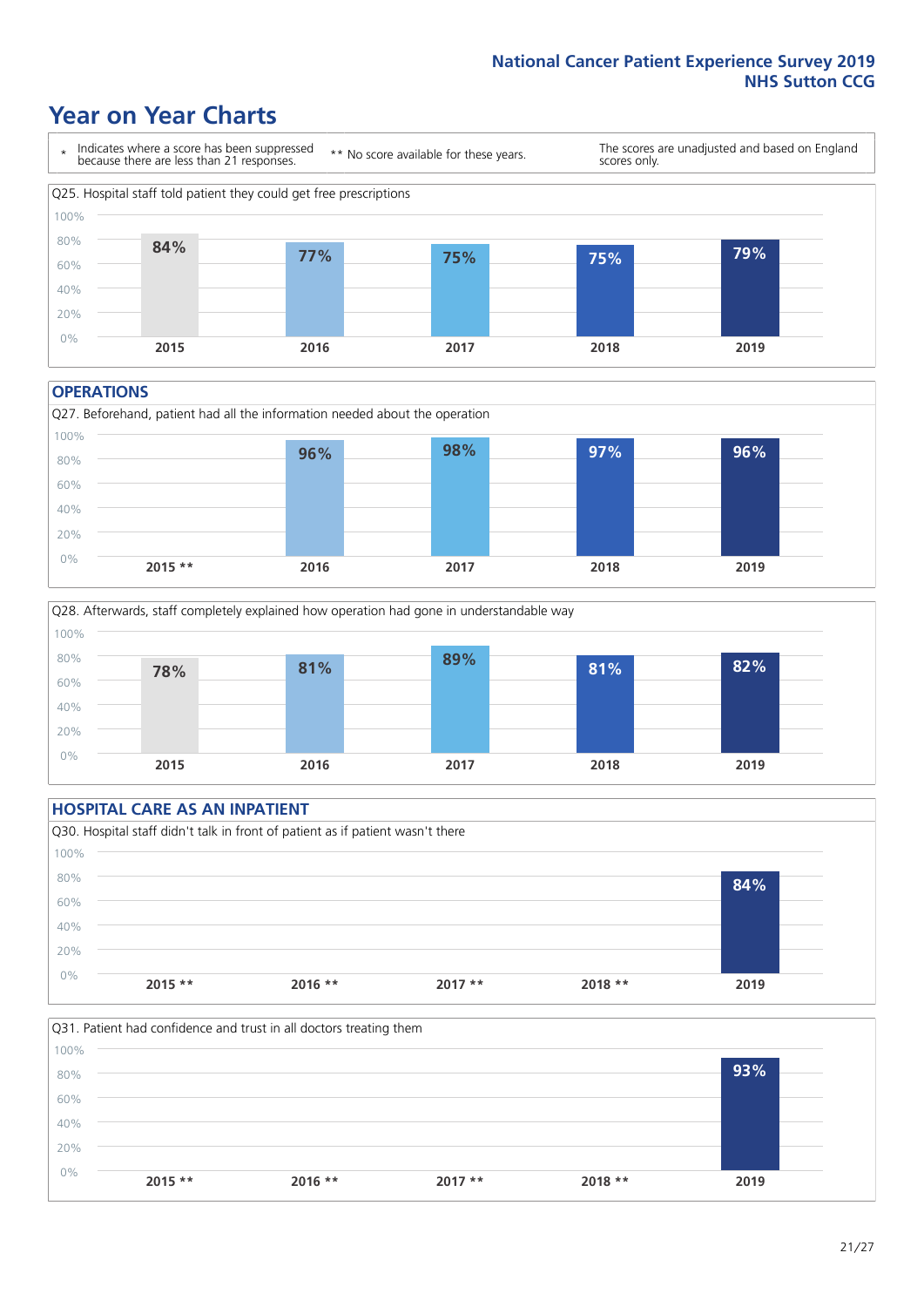### **Year on Year Charts**



#### **OPERATIONS**





#### **HOSPITAL CARE AS AN INPATIENT** Q30. Hospital staff didn't talk in front of patient as if patient wasn't there 0% 20% 40% 60% 80% 100% **2015 \*\* 2016 \*\* 2017 \*\* 2018 \*\* 2019 84%**

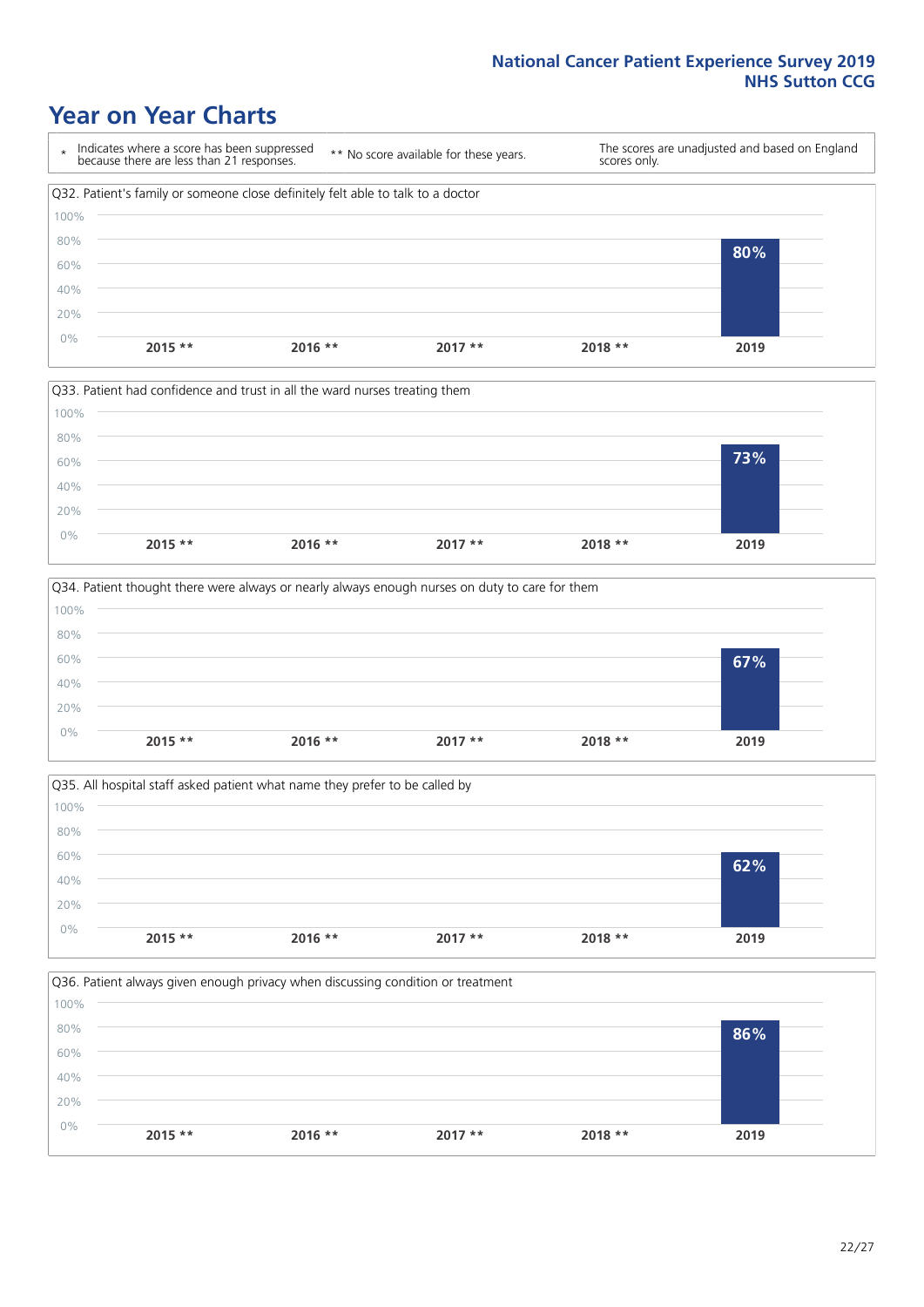### **Year on Year Charts**









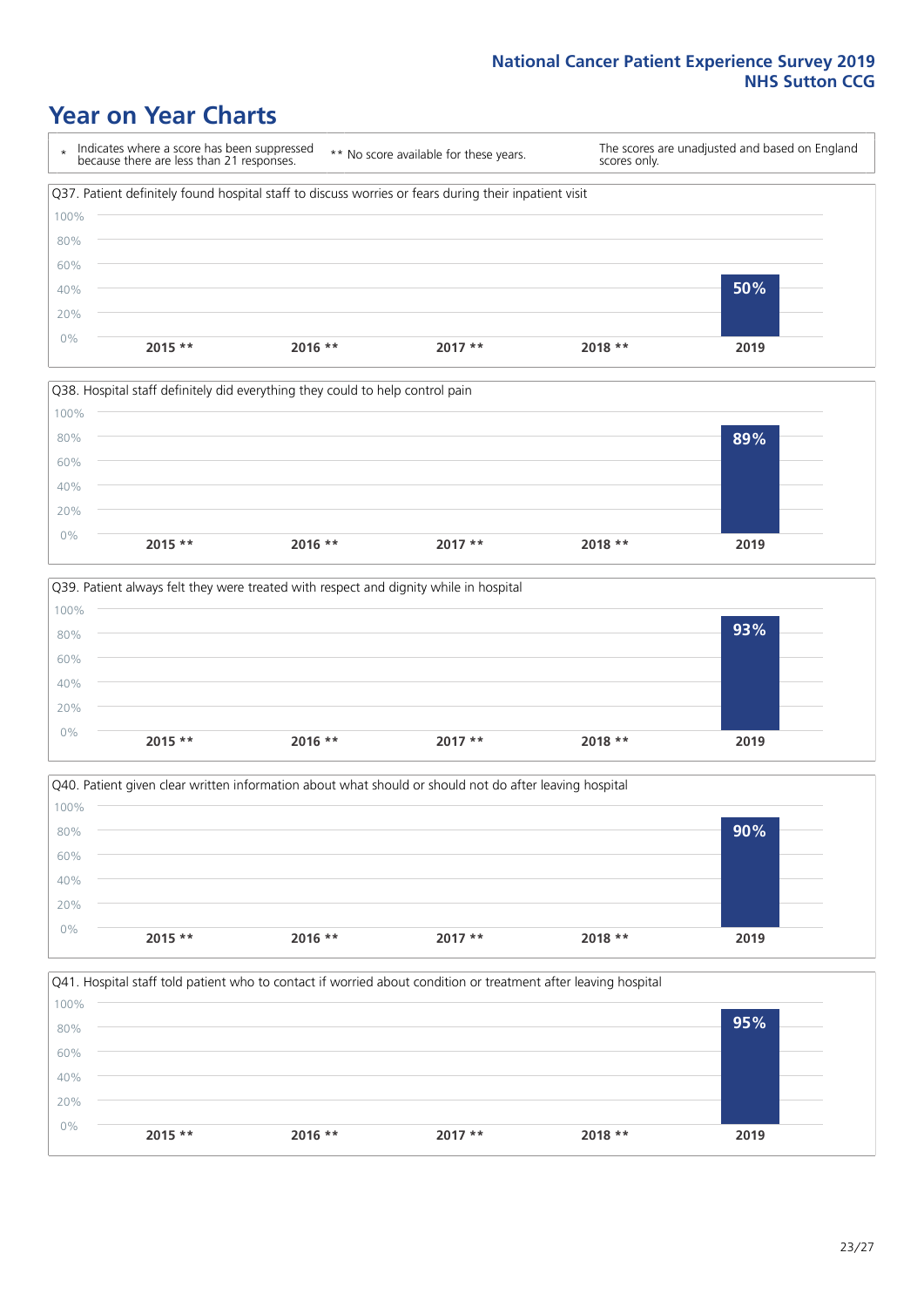### **Year on Year Charts**

\* Indicates where a score has been suppressed because there are less than 21 responses. \*\* No score available for these years. The scores are unadjusted and based on England scores only. Q37. Patient definitely found hospital staff to discuss worries or fears during their inpatient visit 0% 20% 40% 60% 80% 100% **2015 \*\* 2016 \*\* 2017 \*\* 2018 \*\* 2019 50%**









23/27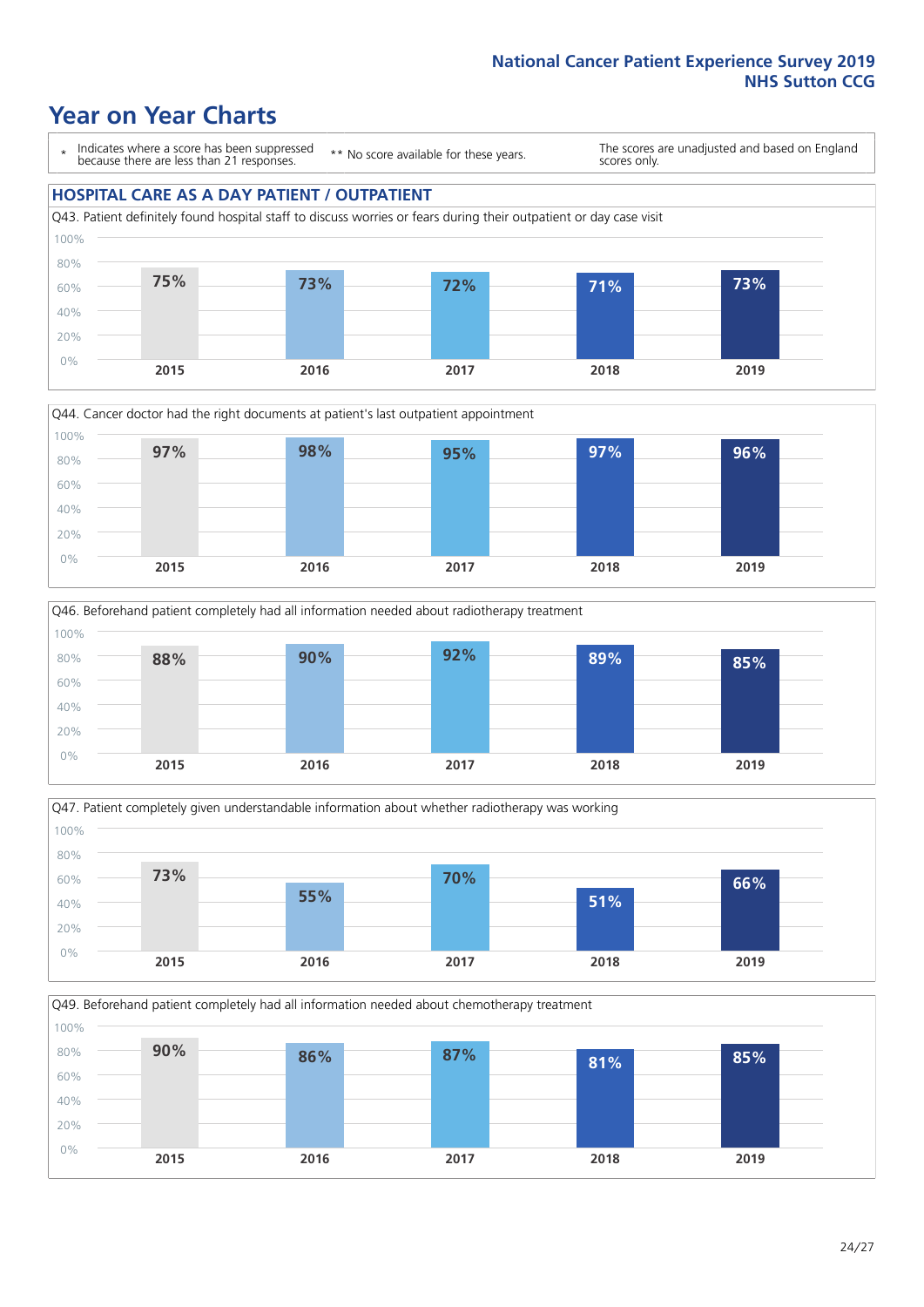### **Year on Year Charts**

\* Indicates where a score has been suppressed because there are less than 21 responses.

\*\* No score available for these years.

The scores are unadjusted and based on England scores only.

#### **HOSPITAL CARE AS A DAY PATIENT / OUTPATIENT**









Q49. Beforehand patient completely had all information needed about chemotherapy treatment 100%

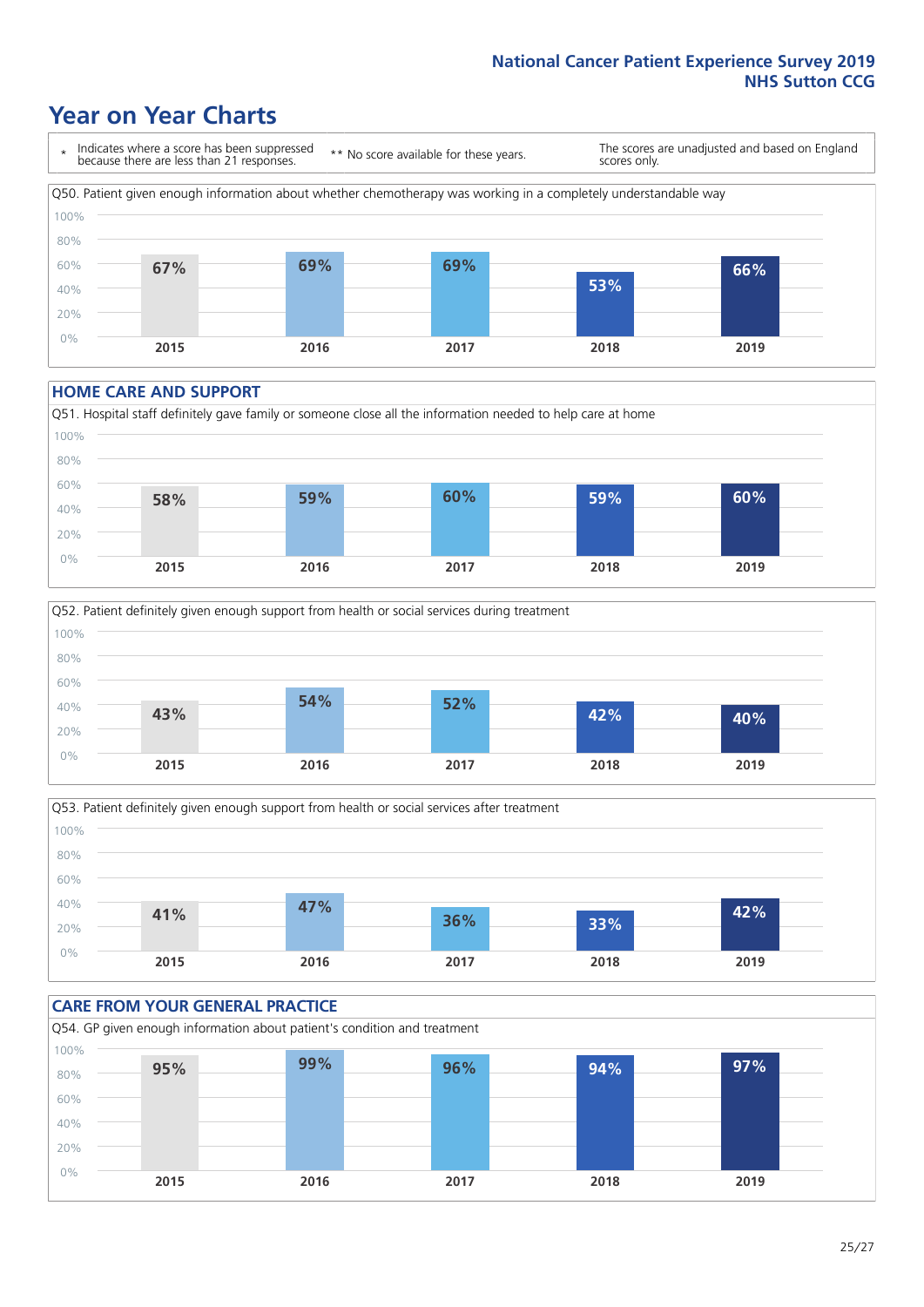### **Year on Year Charts**

\* Indicates where a score has been suppressed because there are less than 21 responses. \*\* No score available for these years. The scores are unadjusted and based on England scores only. Q50. Patient given enough information about whether chemotherapy was working in a completely understandable way 0% 20% 40% 60% 80% 100% **2015 2016 2017 2018 2019 67% 69% 69% 53% 66%**

#### **HOME CARE AND SUPPORT**







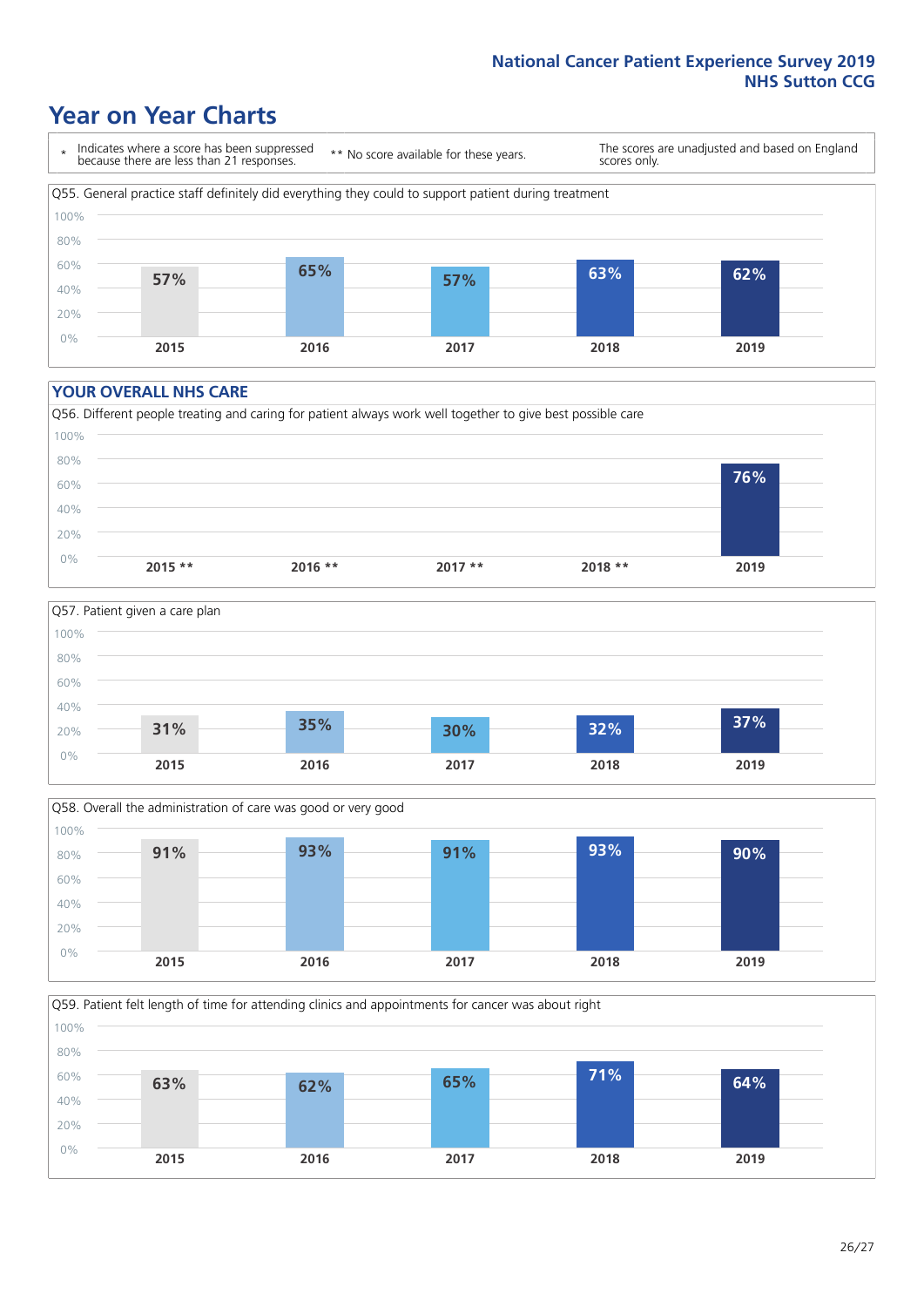### **Year on Year Charts**

\* Indicates where a score has been suppressed because there are less than 21 responses.

\*\* No score available for these years.

The scores are unadjusted and based on England scores only.



#### **YOUR OVERALL NHS CARE**







Q59. Patient felt length of time for attending clinics and appointments for cancer was about right 100%